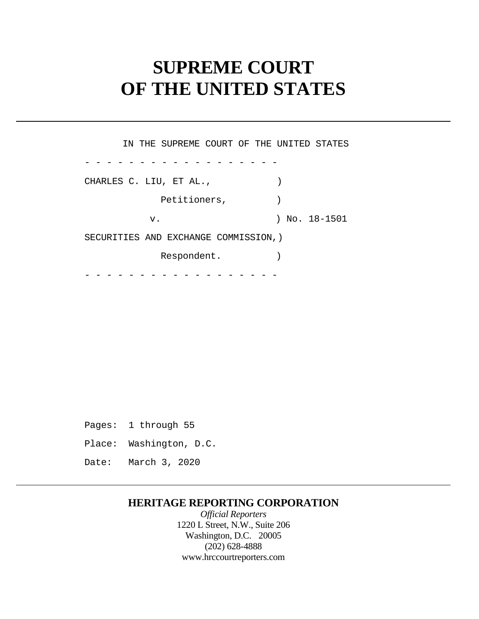# **SUPREME COURT OF THE UNITED STATES**

 - - - - - - - - - - - - - - - - - - - - - - - - - - - - - - - - - - - - IN THE SUPREME COURT OF THE UNITED STATES CHARLES C. LIU, ET AL., (1998) Petitioners,  $)$ v. ) No. 18-1501 SECURITIES AND EXCHANGE COMMISSION,) Respondent.

 Pages: 1 through 55 Place: Washington, D.C. Date: March 3, 2020

## **HERITAGE REPORTING CORPORATION**

*Official Reporters*  1220 L Street, N.W., Suite 206 Washington, D.C. 20005 (202) 628-4888 <www.hrccourtreporters.com>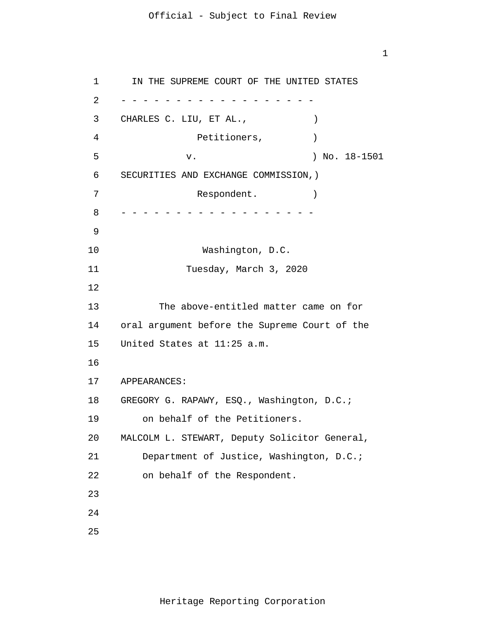1

1 2 3 4 5 6 7 8 9 10 11 12 13 14 15 16 17 18 19 20 21 22 23 24 25 - - - - - - - - - - - - - - - - - - - - - - - - - - - - - - - - - - - - IN THE SUPREME COURT OF THE UNITED STATES CHARLES C. LIU, ET AL., (1998) Petitioners,  $)$  v. ) No. 18-1501 SECURITIES AND EXCHANGE COMMISSION,) Respondent. Washington, D.C. Tuesday, March 3, 2020 The above-entitled matter came on for oral argument before the Supreme Court of the United States at 11:25 a.m. APPEARANCES: GREGORY G. RAPAWY, ESQ., Washington, D.C.; on behalf of the Petitioners. MALCOLM L. STEWART, Deputy Solicitor General, Department of Justice, Washington, D.C.; on behalf of the Respondent.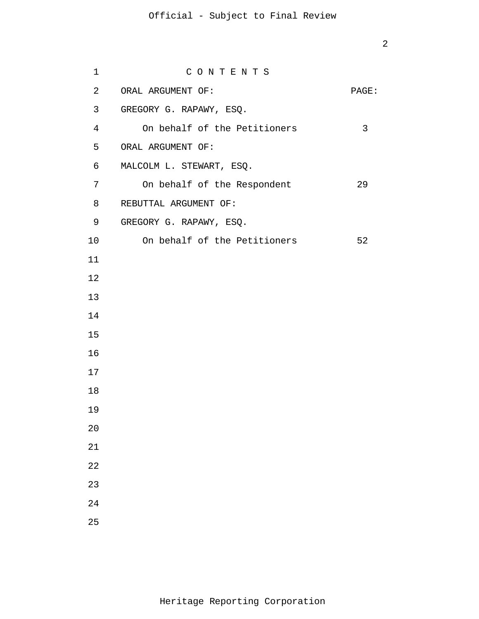| 1              | CONTENTS                     |       |
|----------------|------------------------------|-------|
| 2              | ORAL ARGUMENT OF:            | PAGE: |
| 3              | GREGORY G. RAPAWY, ESQ.      |       |
| $\overline{4}$ | On behalf of the Petitioners | 3     |
| 5              | ORAL ARGUMENT OF:            |       |
| 6              | MALCOLM L. STEWART, ESQ.     |       |
| 7              | On behalf of the Respondent  | 29    |
| 8              | REBUTTAL ARGUMENT OF:        |       |
| 9              | GREGORY G. RAPAWY, ESQ.      |       |
| 10             | On behalf of the Petitioners | 52    |
| 11             |                              |       |
| 12             |                              |       |
| 13             |                              |       |
| 14             |                              |       |
| 15             |                              |       |
| 16             |                              |       |
| 17             |                              |       |
| 18             |                              |       |
| 19             |                              |       |
| 20             |                              |       |
| 21             |                              |       |
| 22             |                              |       |
| 23             |                              |       |
| 24             |                              |       |
| 25             |                              |       |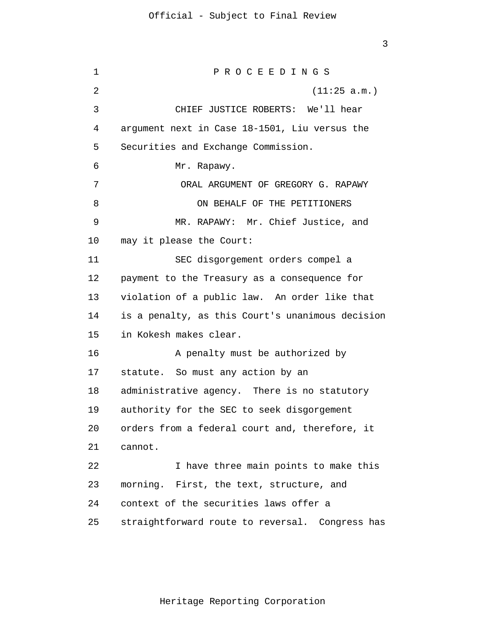1 2 3 4 5 6 7 8 9 10 11 12 13 14 15 16 17 18 19 20 21 22 23 24 25 P R O C E E D I N G S (11:25 a.m.) CHIEF JUSTICE ROBERTS: We'll hear argument next in Case 18-1501, Liu versus the Securities and Exchange Commission. Mr. Rapawy. ORAL ARGUMENT OF GREGORY G. RAPAWY ON BEHALF OF THE PETITIONERS MR. RAPAWY: Mr. Chief Justice, and may it please the Court: SEC disgorgement orders compel a payment to the Treasury as a consequence for violation of a public law. An order like that is a penalty, as this Court's unanimous decision in Kokesh makes clear. A penalty must be authorized by statute. So must any action by an administrative agency. There is no statutory authority for the SEC to seek disgorgement orders from a federal court and, therefore, it cannot. I have three main points to make this morning. First, the text, structure, and context of the securities laws offer a straightforward route to reversal. Congress has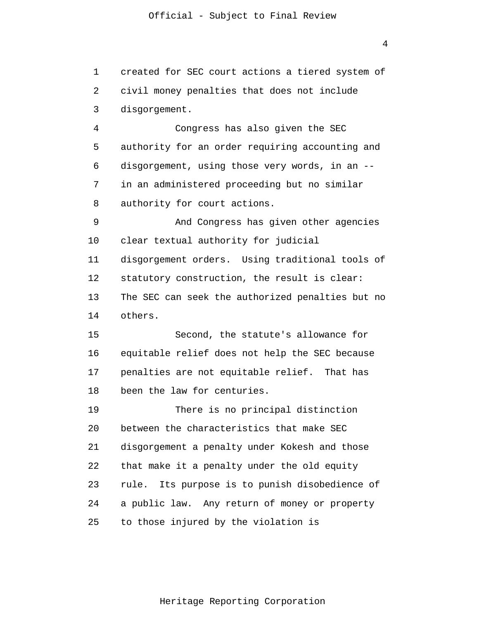1 2 3 created for SEC court actions a tiered system of civil money penalties that does not include disgorgement.

4 5 6 7 8 Congress has also given the SEC authority for an order requiring accounting and disgorgement, using those very words, in an - in an administered proceeding but no similar authority for court actions.

9 10 11 12 13 14 And Congress has given other agencies clear textual authority for judicial disgorgement orders. Using traditional tools of statutory construction, the result is clear: The SEC can seek the authorized penalties but no others.

15 16 17 18 Second, the statute's allowance for equitable relief does not help the SEC because penalties are not equitable relief. That has been the law for centuries.

19 20 21 22 23 24 25 There is no principal distinction between the characteristics that make SEC disgorgement a penalty under Kokesh and those that make it a penalty under the old equity rule. Its purpose is to punish disobedience of a public law. Any return of money or property to those injured by the violation is

4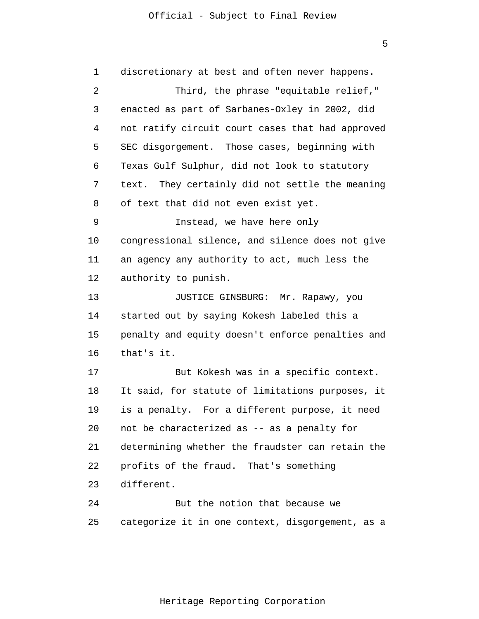| $\mathbf 1$ | discretionary at best and often never happens.   |
|-------------|--------------------------------------------------|
| 2           | Third, the phrase "equitable relief,"            |
| 3           | enacted as part of Sarbanes-Oxley in 2002, did   |
| 4           | not ratify circuit court cases that had approved |
| 5           | SEC disgorgement. Those cases, beginning with    |
| 6           | Texas Gulf Sulphur, did not look to statutory    |
| 7           | text. They certainly did not settle the meaning  |
| 8           | of text that did not even exist yet.             |
| 9           | Instead, we have here only                       |
| 10          | congressional silence, and silence does not give |
| 11          | an agency any authority to act, much less the    |
| 12          | authority to punish.                             |
| 13          | JUSTICE GINSBURG: Mr. Rapawy, you                |
| 14          | started out by saying Kokesh labeled this a      |
| 15          | penalty and equity doesn't enforce penalties and |
| 16          | that's it.                                       |
| 17          | But Kokesh was in a specific context.            |
| 18          | It said, for statute of limitations purposes, it |
| 19          | is a penalty. For a different purpose, it need   |
| 20          | not be characterized as -- as a penalty for      |
| 21          | determining whether the fraudster can retain the |
| 22          | profits of the fraud. That's something           |
| 23          | different.                                       |
| 24          | But the notion that because we                   |
| 25          | categorize it in one context, disgorgement, as a |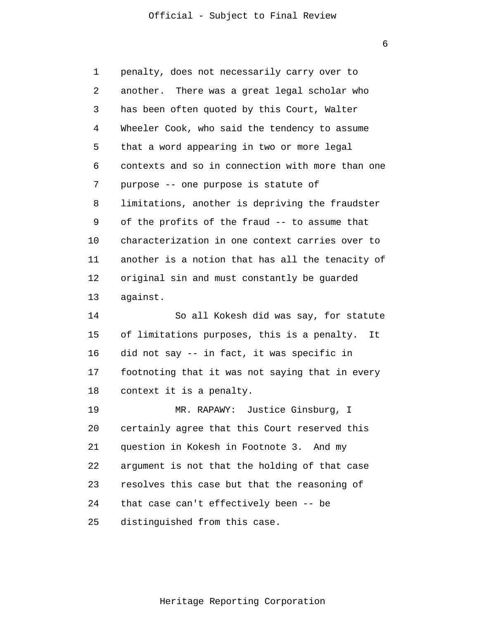6

1 2 3 4 5 6 7 8 9 10 11 12 13 14 15 16 17 18 19 20 21 22 23 24 25 penalty, does not necessarily carry over to another. There was a great legal scholar who has been often quoted by this Court, Walter Wheeler Cook, who said the tendency to assume that a word appearing in two or more legal contexts and so in connection with more than one purpose -- one purpose is statute of limitations, another is depriving the fraudster of the profits of the fraud -- to assume that characterization in one context carries over to another is a notion that has all the tenacity of original sin and must constantly be guarded against. So all Kokesh did was say, for statute of limitations purposes, this is a penalty. It did not say -- in fact, it was specific in footnoting that it was not saying that in every context it is a penalty. MR. RAPAWY: Justice Ginsburg, I certainly agree that this Court reserved this question in Kokesh in Footnote 3. And my argument is not that the holding of that case resolves this case but that the reasoning of that case can't effectively been -- be distinguished from this case.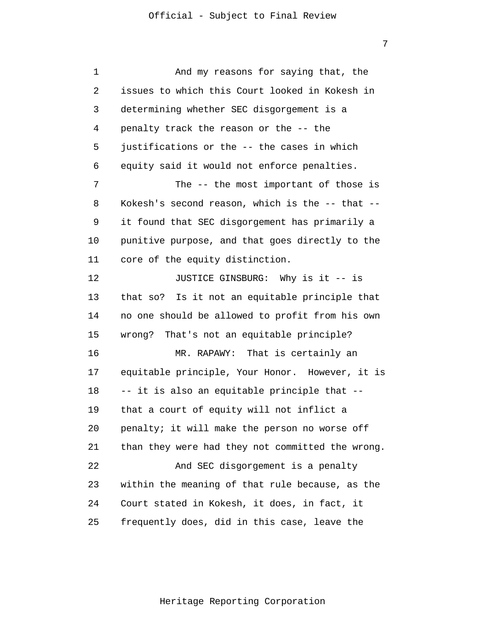1 2 3 4 5 6 7 8 9 10 11 12 13 14 15 16 17 18 19 20 21 22 23 24 25 And my reasons for saying that, the issues to which this Court looked in Kokesh in determining whether SEC disgorgement is a penalty track the reason or the -- the justifications or the -- the cases in which equity said it would not enforce penalties. The -- the most important of those is Kokesh's second reason, which is the -- that - it found that SEC disgorgement has primarily a punitive purpose, and that goes directly to the core of the equity distinction. JUSTICE GINSBURG: Why is it -- is that so? Is it not an equitable principle that no one should be allowed to profit from his own wrong? That's not an equitable principle? MR. RAPAWY: That is certainly an equitable principle, Your Honor. However, it is -- it is also an equitable principle that - that a court of equity will not inflict a penalty; it will make the person no worse off than they were had they not committed the wrong. And SEC disgorgement is a penalty within the meaning of that rule because, as the Court stated in Kokesh, it does, in fact, it frequently does, did in this case, leave the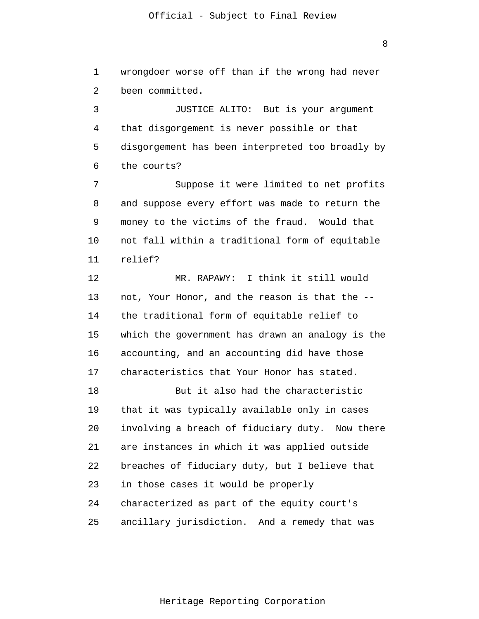wrongdoer worse off than if the wrong had never

8

2 3 4 5 6 been committed. JUSTICE ALITO: But is your argument that disgorgement is never possible or that disgorgement has been interpreted too broadly by the courts?

1

7 8 9 10 11 Suppose it were limited to net profits and suppose every effort was made to return the money to the victims of the fraud. Would that not fall within a traditional form of equitable relief?

12 13 14 15 16 17 MR. RAPAWY: I think it still would not, Your Honor, and the reason is that the - the traditional form of equitable relief to which the government has drawn an analogy is the accounting, and an accounting did have those characteristics that Your Honor has stated.

18 19 20 21 22 23 24 25 But it also had the characteristic that it was typically available only in cases involving a breach of fiduciary duty. Now there are instances in which it was applied outside breaches of fiduciary duty, but I believe that in those cases it would be properly characterized as part of the equity court's ancillary jurisdiction. And a remedy that was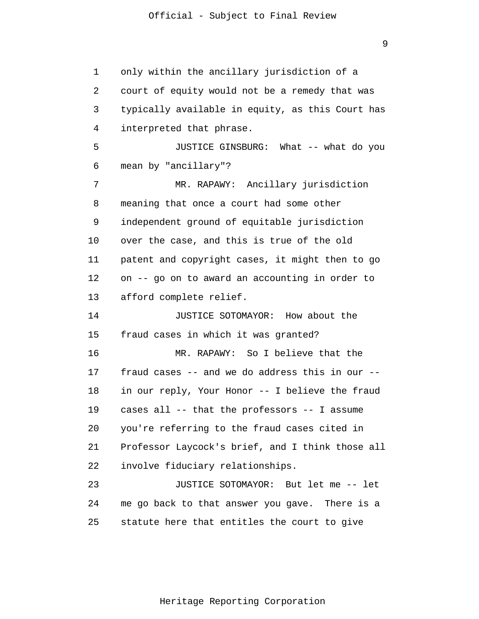9

1 2 3 4 5 6 7 8 9 10 11 12 13 14 15 16 17 18 19 20 21 22 23 24 25 only within the ancillary jurisdiction of a court of equity would not be a remedy that was typically available in equity, as this Court has interpreted that phrase. JUSTICE GINSBURG: What -- what do you mean by "ancillary"? MR. RAPAWY: Ancillary jurisdiction meaning that once a court had some other independent ground of equitable jurisdiction over the case, and this is true of the old patent and copyright cases, it might then to go on -- go on to award an accounting in order to afford complete relief. JUSTICE SOTOMAYOR: How about the fraud cases in which it was granted? MR. RAPAWY: So I believe that the fraud cases -- and we do address this in our - in our reply, Your Honor -- I believe the fraud cases all -- that the professors -- I assume you're referring to the fraud cases cited in Professor Laycock's brief, and I think those all involve fiduciary relationships. JUSTICE SOTOMAYOR: But let me -- let me go back to that answer you gave. There is a statute here that entitles the court to give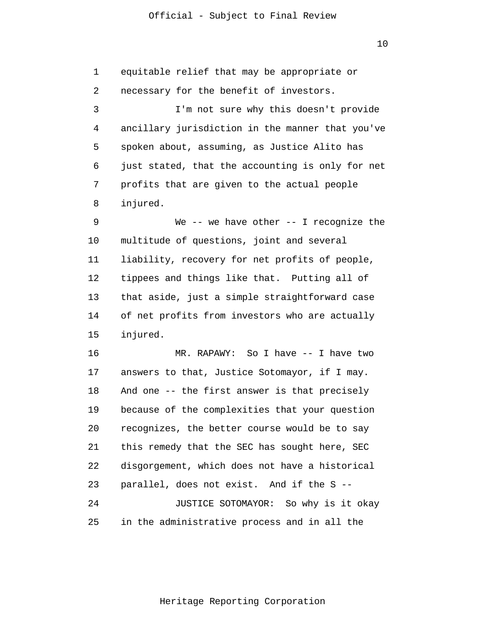1 2 3 4 5 6 7 8 9 10 11 12 13 14 15 16 17 18 19 20 21 22 23 24 25 equitable relief that may be appropriate or necessary for the benefit of investors. I'm not sure why this doesn't provide ancillary jurisdiction in the manner that you've spoken about, assuming, as Justice Alito has just stated, that the accounting is only for net profits that are given to the actual people injured. We  $--$  we have other  $--$  I recognize the multitude of questions, joint and several liability, recovery for net profits of people, tippees and things like that. Putting all of that aside, just a simple straightforward case of net profits from investors who are actually injured. MR. RAPAWY: So I have -- I have two answers to that, Justice Sotomayor, if I may. And one -- the first answer is that precisely because of the complexities that your question recognizes, the better course would be to say this remedy that the SEC has sought here, SEC disgorgement, which does not have a historical parallel, does not exist. And if the S -- JUSTICE SOTOMAYOR: So why is it okay in the administrative process and in all the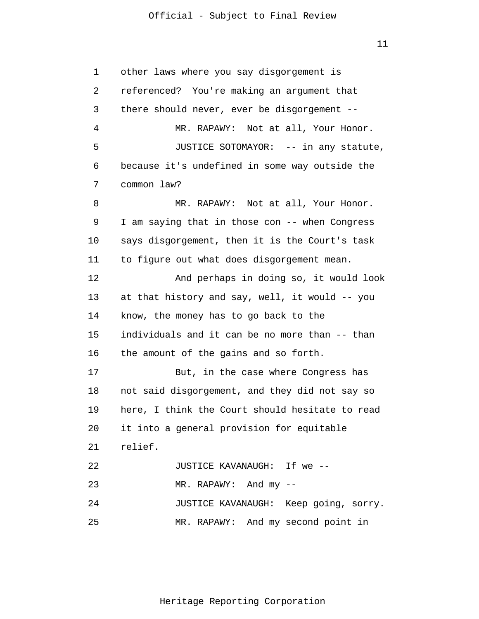11

1 2 3 4 5 6 7 8 9 10 11 12 13 14 15 16 17 18 19 20 21 22 23 24 25 other laws where you say disgorgement is referenced? You're making an argument that there should never, ever be disgorgement -- MR. RAPAWY: Not at all, Your Honor. JUSTICE SOTOMAYOR: -- in any statute, because it's undefined in some way outside the common law? MR. RAPAWY: Not at all, Your Honor. I am saying that in those con -- when Congress says disgorgement, then it is the Court's task to figure out what does disgorgement mean. And perhaps in doing so, it would look at that history and say, well, it would -- you know, the money has to go back to the individuals and it can be no more than -- than the amount of the gains and so forth. But, in the case where Congress has not said disgorgement, and they did not say so here, I think the Court should hesitate to read it into a general provision for equitable relief. JUSTICE KAVANAUGH: If we -- MR. RAPAWY: And my -- JUSTICE KAVANAUGH: Keep going, sorry. MR. RAPAWY: And my second point in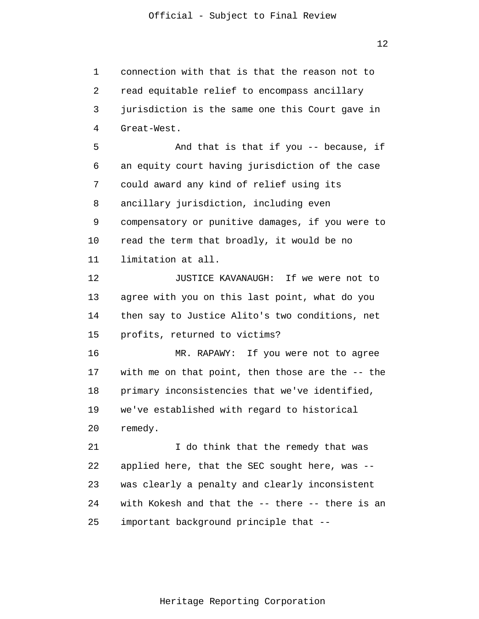1 2 3 4 5 6 7 8 9 10 11 12 13 14 15 16 17 18 19 20 21 22 23 24 25 connection with that is that the reason not to read equitable relief to encompass ancillary jurisdiction is the same one this Court gave in Great-West. And that is that if you -- because, if an equity court having jurisdiction of the case could award any kind of relief using its ancillary jurisdiction, including even compensatory or punitive damages, if you were to read the term that broadly, it would be no limitation at all. JUSTICE KAVANAUGH: If we were not to agree with you on this last point, what do you then say to Justice Alito's two conditions, net profits, returned to victims? MR. RAPAWY: If you were not to agree with me on that point, then those are the -- the primary inconsistencies that we've identified, we've established with regard to historical remedy. I do think that the remedy that was applied here, that the SEC sought here, was - was clearly a penalty and clearly inconsistent with Kokesh and that the -- there -- there is an important background principle that --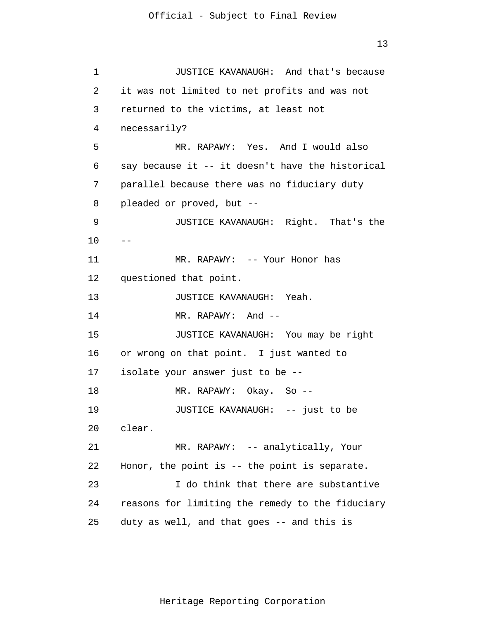1 2 3 4 5 6 7 8 9 10 11 12 13 14 15 16 17 18 19 20 21 22 23 24 25  $-$ JUSTICE KAVANAUGH: And that's because it was not limited to net profits and was not returned to the victims, at least not necessarily? MR. RAPAWY: Yes. And I would also say because it -- it doesn't have the historical parallel because there was no fiduciary duty pleaded or proved, but -- JUSTICE KAVANAUGH: Right. That's the MR. RAPAWY: -- Your Honor has questioned that point. JUSTICE KAVANAUGH: Yeah. MR. RAPAWY: And --JUSTICE KAVANAUGH: You may be right or wrong on that point. I just wanted to isolate your answer just to be -- MR. RAPAWY: Okay. So -- JUSTICE KAVANAUGH: -- just to be clear. MR. RAPAWY: -- analytically, Your Honor, the point is -- the point is separate. I do think that there are substantive reasons for limiting the remedy to the fiduciary duty as well, and that goes -- and this is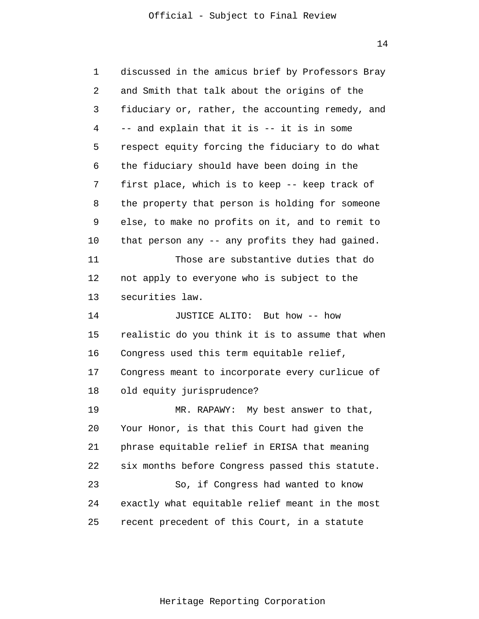| $\mathbf 1$ | discussed in the amicus brief by Professors Bray |
|-------------|--------------------------------------------------|
| 2           | and Smith that talk about the origins of the     |
| 3           | fiduciary or, rather, the accounting remedy, and |
| 4           | -- and explain that it is -- it is in some       |
| 5           | respect equity forcing the fiduciary to do what  |
| 6           | the fiduciary should have been doing in the      |
| 7           | first place, which is to keep -- keep track of   |
| 8           | the property that person is holding for someone  |
| 9           | else, to make no profits on it, and to remit to  |
| 10          | that person any -- any profits they had gained.  |
| 11          | Those are substantive duties that do             |
| 12          | not apply to everyone who is subject to the      |
| 13          | securities law.                                  |
| 14          | JUSTICE ALITO: But how -- how                    |
| 15          | realistic do you think it is to assume that when |
| 16          | Congress used this term equitable relief,        |
| 17          | Congress meant to incorporate every curlicue of  |
| 18          | old equity jurisprudence?                        |
| 19          | MR. RAPAWY: My best answer to that,              |
| 20          | Your Honor, is that this Court had given the     |
| 21          | phrase equitable relief in ERISA that meaning    |
| 22          | six months before Congress passed this statute.  |
| 23          | So, if Congress had wanted to know               |
|             |                                                  |
| 24          | exactly what equitable relief meant in the most  |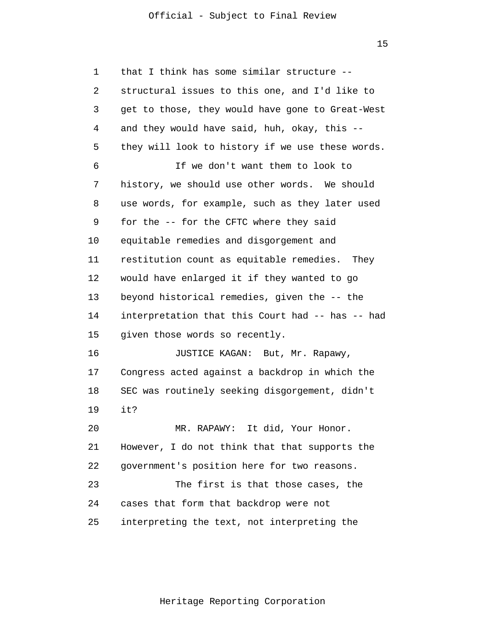15

| 1  | that I think has some similar structure --       |
|----|--------------------------------------------------|
| 2  | structural issues to this one, and I'd like to   |
| 3  | get to those, they would have gone to Great-West |
| 4  | and they would have said, huh, okay, this --     |
| 5  | they will look to history if we use these words. |
| 6  | If we don't want them to look to                 |
| 7  | history, we should use other words. We should    |
| 8  | use words, for example, such as they later used  |
| 9  | for the -- for the CFTC where they said          |
| 10 | equitable remedies and disgorgement and          |
| 11 | restitution count as equitable remedies. They    |
| 12 | would have enlarged it if they wanted to go      |
| 13 | beyond historical remedies, given the -- the     |
| 14 | interpretation that this Court had -- has -- had |
| 15 | given those words so recently.                   |
| 16 | JUSTICE KAGAN: But, Mr. Rapawy,                  |
| 17 | Congress acted against a backdrop in which the   |
| 18 | SEC was routinely seeking disgorgement, didn't   |
| 19 | it?                                              |
| 20 | MR. RAPAWY: It did, Your Honor.                  |
| 21 | However, I do not think that that supports the   |
| 22 | government's position here for two reasons.      |
| 23 | The first is that those cases, the               |
| 24 | cases that form that backdrop were not           |
| 25 | interpreting the text, not interpreting the      |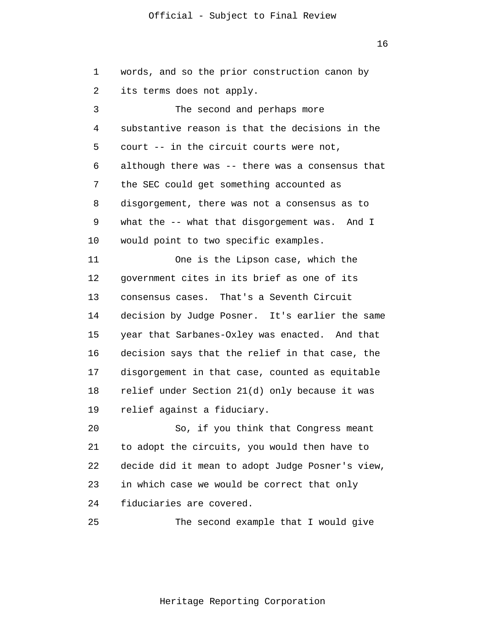16

1 2 3 4 5 6 7 8 9 10 11 12 13 14 15 16 17 18 19 20 21 22 23 24 25 words, and so the prior construction canon by its terms does not apply. The second and perhaps more substantive reason is that the decisions in the court -- in the circuit courts were not, although there was -- there was a consensus that the SEC could get something accounted as disgorgement, there was not a consensus as to what the -- what that disgorgement was. And I would point to two specific examples. One is the Lipson case, which the government cites in its brief as one of its consensus cases. That's a Seventh Circuit decision by Judge Posner. It's earlier the same year that Sarbanes-Oxley was enacted. And that decision says that the relief in that case, the disgorgement in that case, counted as equitable relief under Section 21(d) only because it was relief against a fiduciary. So, if you think that Congress meant to adopt the circuits, you would then have to decide did it mean to adopt Judge Posner's view, in which case we would be correct that only fiduciaries are covered. The second example that I would give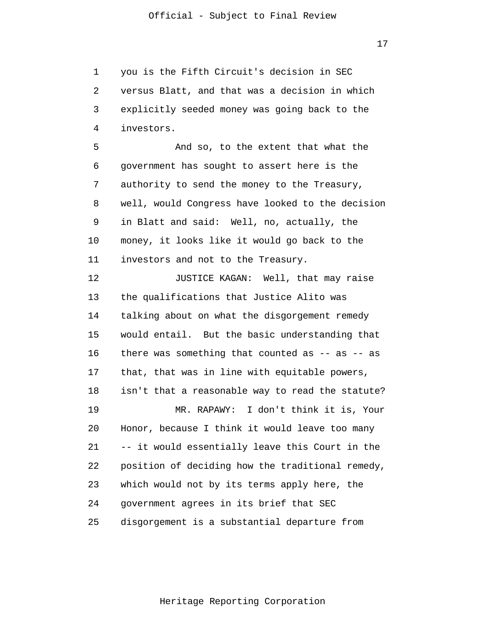1 2 3 4 you is the Fifth Circuit's decision in SEC versus Blatt, and that was a decision in which explicitly seeded money was going back to the investors.

5 6 7 8 9 10 11 And so, to the extent that what the government has sought to assert here is the authority to send the money to the Treasury, well, would Congress have looked to the decision in Blatt and said: Well, no, actually, the money, it looks like it would go back to the investors and not to the Treasury.

12 13 14 15 16 17 18 19 20 21 22 23 24 25 JUSTICE KAGAN: Well, that may raise the qualifications that Justice Alito was talking about on what the disgorgement remedy would entail. But the basic understanding that there was something that counted as  $-$  as  $-$  as that, that was in line with equitable powers, isn't that a reasonable way to read the statute? MR. RAPAWY: I don't think it is, Your Honor, because I think it would leave too many -- it would essentially leave this Court in the position of deciding how the traditional remedy, which would not by its terms apply here, the government agrees in its brief that SEC disgorgement is a substantial departure from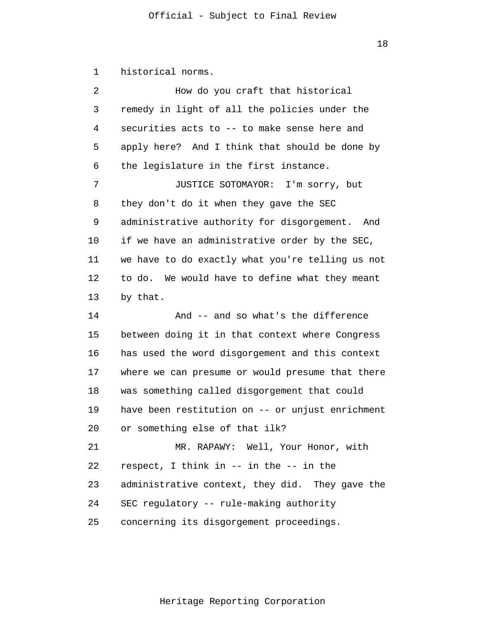1 historical norms.

| $\overline{a}$                   | How do you craft that historical                 |
|----------------------------------|--------------------------------------------------|
| 3                                | remedy in light of all the policies under the    |
| 4                                | securities acts to -- to make sense here and     |
| 5                                | apply here? And I think that should be done by   |
| 6                                | the legislature in the first instance.           |
| 7                                | JUSTICE SOTOMAYOR: I'm sorry, but                |
| 8                                | they don't do it when they gave the SEC          |
| 9                                | administrative authority for disgorgement. And   |
| 10                               | if we have an administrative order by the SEC,   |
| 11                               | we have to do exactly what you're telling us not |
| 12                               | to do. We would have to define what they meant   |
| 13                               | by that.                                         |
|                                  |                                                  |
|                                  | And -- and so what's the difference              |
|                                  | between doing it in that context where Congress  |
|                                  | has used the word disgorgement and this context  |
|                                  | where we can presume or would presume that there |
|                                  | was something called disgorgement that could     |
| 14<br>15<br>16<br>17<br>18<br>19 | have been restitution on -- or unjust enrichment |
| 20                               | or something else of that ilk?                   |
| 21                               | MR. RAPAWY: Well, Your Honor, with               |
| 22                               | respect, I think in -- in the -- in the          |
| 23                               | administrative context, they did. They gave the  |
| 24                               | SEC regulatory -- rule-making authority          |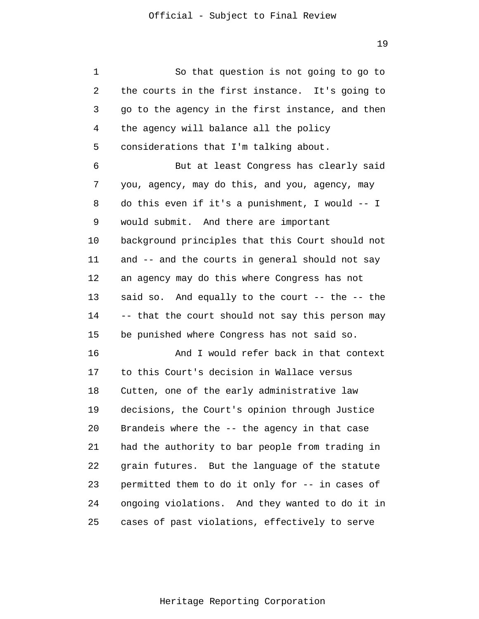1 2 3 4 5 6 7 8 9 10 11 12 13 14 15 16 17 18 19 20 21 22 23 24 25 So that question is not going to go to the courts in the first instance. It's going to go to the agency in the first instance, and then the agency will balance all the policy considerations that I'm talking about. But at least Congress has clearly said you, agency, may do this, and you, agency, may do this even if it's a punishment, I would -- I would submit. And there are important background principles that this Court should not and -- and the courts in general should not say an agency may do this where Congress has not said so. And equally to the court -- the -- the -- that the court should not say this person may be punished where Congress has not said so. And I would refer back in that context to this Court's decision in Wallace versus Cutten, one of the early administrative law decisions, the Court's opinion through Justice Brandeis where the -- the agency in that case had the authority to bar people from trading in grain futures. But the language of the statute permitted them to do it only for -- in cases of ongoing violations. And they wanted to do it in cases of past violations, effectively to serve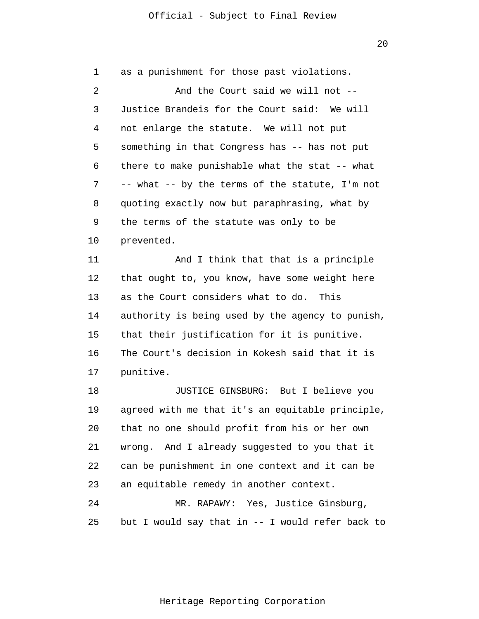1 2 3 4 5 6 7 8 9 10 11 12 13 14 15 16 17 18 19 20 21 22 23 24 25 as a punishment for those past violations. And the Court said we will not -- Justice Brandeis for the Court said: We will not enlarge the statute. We will not put something in that Congress has -- has not put there to make punishable what the stat -- what -- what -- by the terms of the statute, I'm not quoting exactly now but paraphrasing, what by the terms of the statute was only to be prevented. And I think that that is a principle that ought to, you know, have some weight here as the Court considers what to do. This authority is being used by the agency to punish, that their justification for it is punitive. The Court's decision in Kokesh said that it is punitive. JUSTICE GINSBURG: But I believe you agreed with me that it's an equitable principle, that no one should profit from his or her own wrong. And I already suggested to you that it can be punishment in one context and it can be an equitable remedy in another context. MR. RAPAWY: Yes, Justice Ginsburg, but I would say that in -- I would refer back to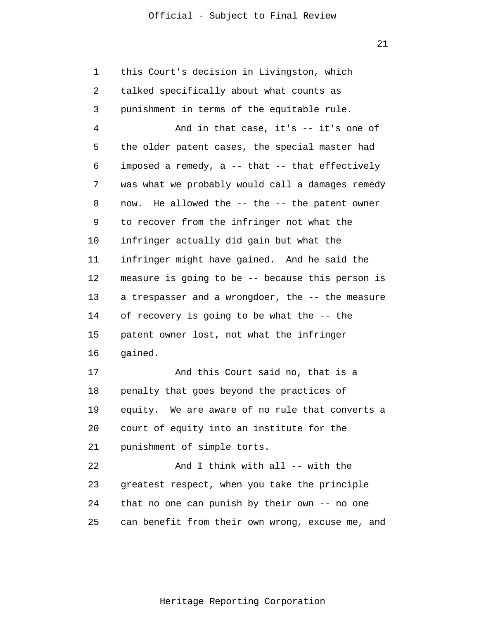21

1 2 3 4 5 6 7 8 9 10 11 12 13 14 15 16 17 18 19 20 21 22 23 24 25 this Court's decision in Livingston, which talked specifically about what counts as punishment in terms of the equitable rule. And in that case, it's -- it's one of the older patent cases, the special master had imposed a remedy, a -- that -- that effectively was what we probably would call a damages remedy now. He allowed the -- the -- the patent owner to recover from the infringer not what the infringer actually did gain but what the infringer might have gained. And he said the measure is going to be -- because this person is a trespasser and a wrongdoer, the -- the measure of recovery is going to be what the -- the patent owner lost, not what the infringer gained. And this Court said no, that is a penalty that goes beyond the practices of equity. We are aware of no rule that converts a court of equity into an institute for the punishment of simple torts. And I think with all -- with the greatest respect, when you take the principle that no one can punish by their own -- no one can benefit from their own wrong, excuse me, and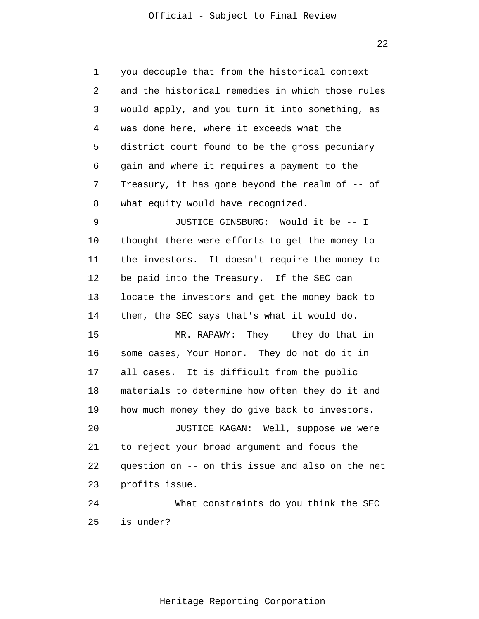1 2 3 4 5 6 7 8 9 10 11 12 13 14 15 16 17 18 19 20 21 22 23 24 25 you decouple that from the historical context and the historical remedies in which those rules would apply, and you turn it into something, as was done here, where it exceeds what the district court found to be the gross pecuniary gain and where it requires a payment to the Treasury, it has gone beyond the realm of -- of what equity would have recognized. JUSTICE GINSBURG: Would it be -- I thought there were efforts to get the money to the investors. It doesn't require the money to be paid into the Treasury. If the SEC can locate the investors and get the money back to them, the SEC says that's what it would do. MR. RAPAWY: They -- they do that in some cases, Your Honor. They do not do it in all cases. It is difficult from the public materials to determine how often they do it and how much money they do give back to investors. JUSTICE KAGAN: Well, suppose we were to reject your broad argument and focus the question on -- on this issue and also on the net profits issue. What constraints do you think the SEC is under?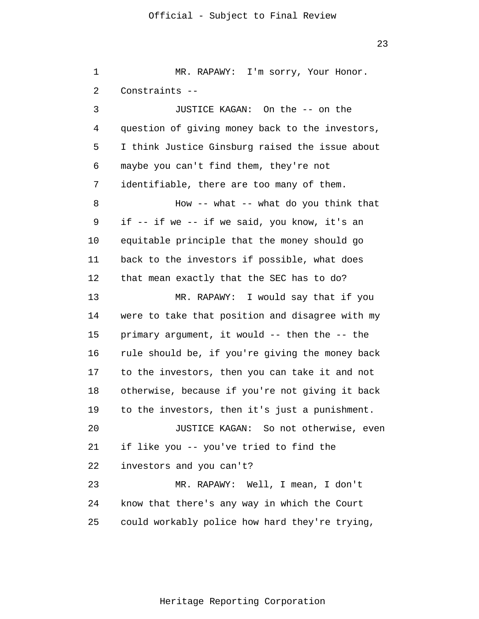1 2 3 4 5 6 7 8 9 10 11 12 13 14 15 16 17 18 19 20 21 22 23 24 25 MR. RAPAWY: I'm sorry, Your Honor. Constraints -- JUSTICE KAGAN: On the -- on the question of giving money back to the investors, I think Justice Ginsburg raised the issue about maybe you can't find them, they're not identifiable, there are too many of them. How  $--$  what  $--$  what do you think that if -- if we -- if we said, you know, it's an equitable principle that the money should go back to the investors if possible, what does that mean exactly that the SEC has to do? MR. RAPAWY: I would say that if you were to take that position and disagree with my primary argument, it would -- then the -- the rule should be, if you're giving the money back to the investors, then you can take it and not otherwise, because if you're not giving it back to the investors, then it's just a punishment. JUSTICE KAGAN: So not otherwise, even if like you -- you've tried to find the investors and you can't? MR. RAPAWY: Well, I mean, I don't know that there's any way in which the Court could workably police how hard they're trying,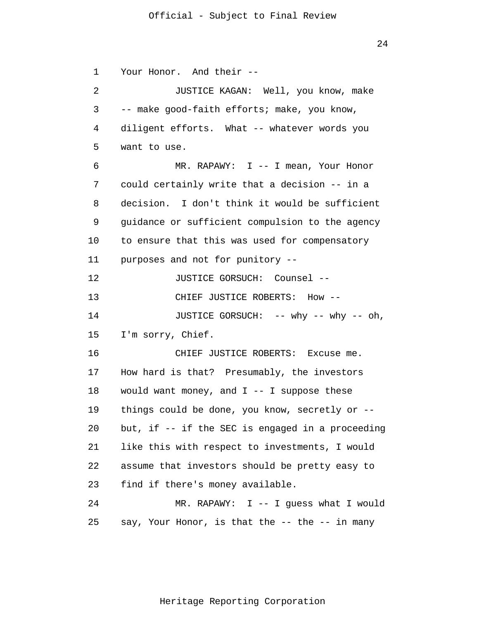1 2 3 4 5 6 7 8 9 10 11 12 13 14 15 16 17 18 19 20 21 22 23 24 25 Your Honor. And their -- JUSTICE KAGAN: Well, you know, make -- make good-faith efforts; make, you know, diligent efforts. What -- whatever words you want to use. MR. RAPAWY: I -- I mean, Your Honor could certainly write that a decision -- in a decision. I don't think it would be sufficient guidance or sufficient compulsion to the agency to ensure that this was used for compensatory purposes and not for punitory -- JUSTICE GORSUCH: Counsel -- CHIEF JUSTICE ROBERTS: How -- JUSTICE GORSUCH: -- why -- why -- oh, I'm sorry, Chief. CHIEF JUSTICE ROBERTS: Excuse me. How hard is that? Presumably, the investors would want money, and  $I$  -- I suppose these things could be done, you know, secretly or - but, if -- if the SEC is engaged in a proceeding like this with respect to investments, I would assume that investors should be pretty easy to find if there's money available. MR. RAPAWY: I -- I quess what I would say, Your Honor, is that the -- the -- in many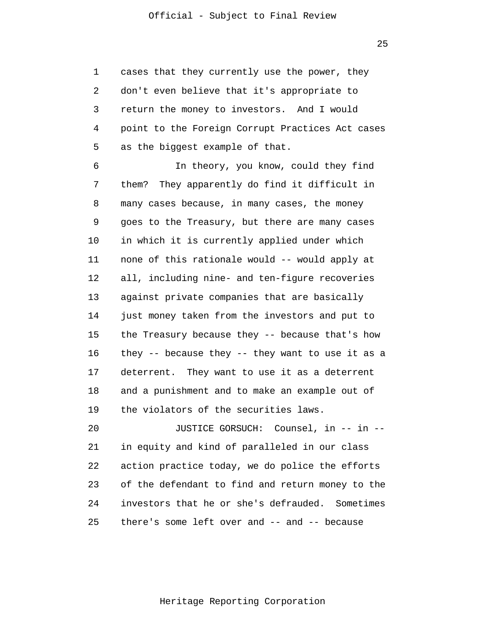1 2 3 4 5 cases that they currently use the power, they don't even believe that it's appropriate to return the money to investors. And I would point to the Foreign Corrupt Practices Act cases as the biggest example of that.

6 7 8 9 10 11 12 13 14 15 16 17 18 19 In theory, you know, could they find them? They apparently do find it difficult in many cases because, in many cases, the money goes to the Treasury, but there are many cases in which it is currently applied under which none of this rationale would -- would apply at all, including nine- and ten-figure recoveries against private companies that are basically just money taken from the investors and put to the Treasury because they -- because that's how they -- because they -- they want to use it as a deterrent. They want to use it as a deterrent and a punishment and to make an example out of the violators of the securities laws.

20 21 22 23 24 25 JUSTICE GORSUCH: Counsel, in -- in - in equity and kind of paralleled in our class action practice today, we do police the efforts of the defendant to find and return money to the investors that he or she's defrauded. Sometimes there's some left over and -- and -- because

25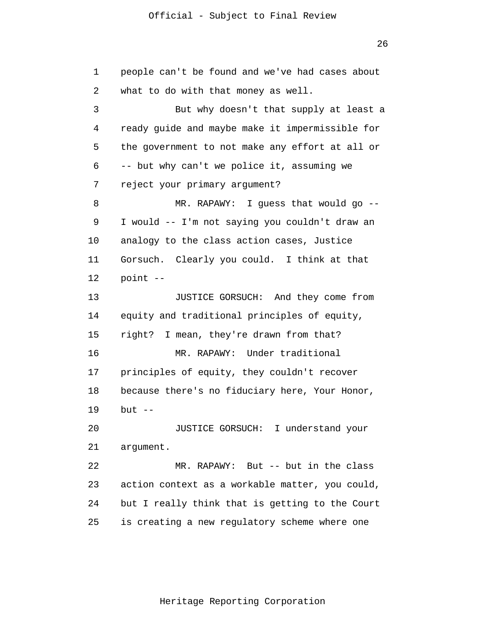26

1 2 3 4 5 6 7 8 9 10 11 12 13 14 15 16 17 18 19 20 21 22 23 24 25 people can't be found and we've had cases about what to do with that money as well. But why doesn't that supply at least a ready guide and maybe make it impermissible for the government to not make any effort at all or -- but why can't we police it, assuming we reject your primary argument? MR. RAPAWY: I guess that would go -- I would -- I'm not saying you couldn't draw an analogy to the class action cases, Justice Gorsuch. Clearly you could. I think at that point -- JUSTICE GORSUCH: And they come from equity and traditional principles of equity, right? I mean, they're drawn from that? MR. RAPAWY: Under traditional principles of equity, they couldn't recover because there's no fiduciary here, Your Honor, but  $--$ JUSTICE GORSUCH: I understand your argument. MR. RAPAWY: But -- but in the class action context as a workable matter, you could, but I really think that is getting to the Court is creating a new regulatory scheme where one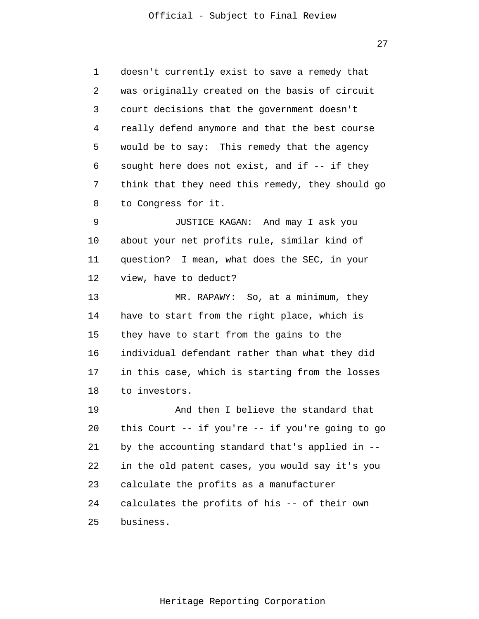1 2 3 4 5 6 7 8 9 10 11 12 13 14 15 16 17 18 19 20 21 22 23 24 25 doesn't currently exist to save a remedy that was originally created on the basis of circuit court decisions that the government doesn't really defend anymore and that the best course would be to say: This remedy that the agency sought here does not exist, and if -- if they think that they need this remedy, they should go to Congress for it. JUSTICE KAGAN: And may I ask you about your net profits rule, similar kind of question? I mean, what does the SEC, in your view, have to deduct? MR. RAPAWY: So, at a minimum, they have to start from the right place, which is they have to start from the gains to the individual defendant rather than what they did in this case, which is starting from the losses to investors. And then I believe the standard that this Court -- if you're -- if you're going to go by the accounting standard that's applied in - in the old patent cases, you would say it's you calculate the profits as a manufacturer calculates the profits of his -- of their own business.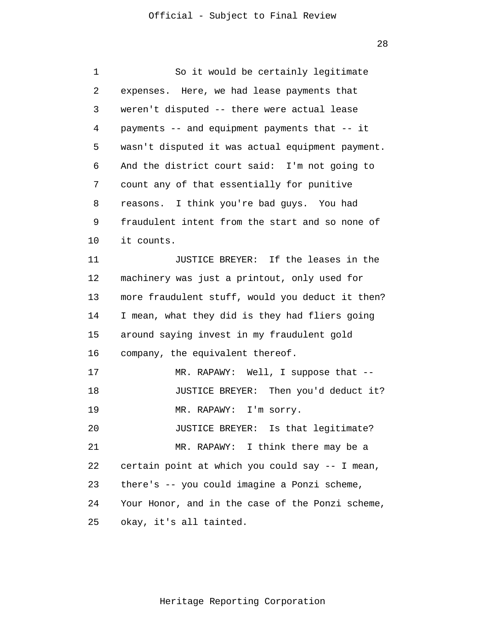| 1  | So it would be certainly legitimate              |
|----|--------------------------------------------------|
| 2  | expenses. Here, we had lease payments that       |
| 3  | weren't disputed -- there were actual lease      |
| 4  | payments -- and equipment payments that -- it    |
| 5  | wasn't disputed it was actual equipment payment. |
| 6  | And the district court said: I'm not going to    |
| 7  | count any of that essentially for punitive       |
| 8  | reasons. I think you're bad guys. You had        |
| 9  | fraudulent intent from the start and so none of  |
| 10 | it counts.                                       |
| 11 | JUSTICE BREYER: If the leases in the             |
| 12 | machinery was just a printout, only used for     |
| 13 | more fraudulent stuff, would you deduct it then? |
| 14 | I mean, what they did is they had fliers going   |
| 15 | around saying invest in my fraudulent gold       |
| 16 | company, the equivalent thereof.                 |
| 17 | MR. RAPAWY: Well, I suppose that --              |
| 18 | JUSTICE BREYER: Then you'd deduct it?            |
| 19 | MR. RAPAWY: I'm sorry.                           |
| 20 | JUSTICE BREYER: Is that legitimate?              |
| 21 | MR. RAPAWY: I think there may be a               |
| 22 | certain point at which you could say -- I mean,  |
| 23 | there's -- you could imagine a Ponzi scheme,     |
| 24 | Your Honor, and in the case of the Ponzi scheme, |
| 25 | okay, it's all tainted.                          |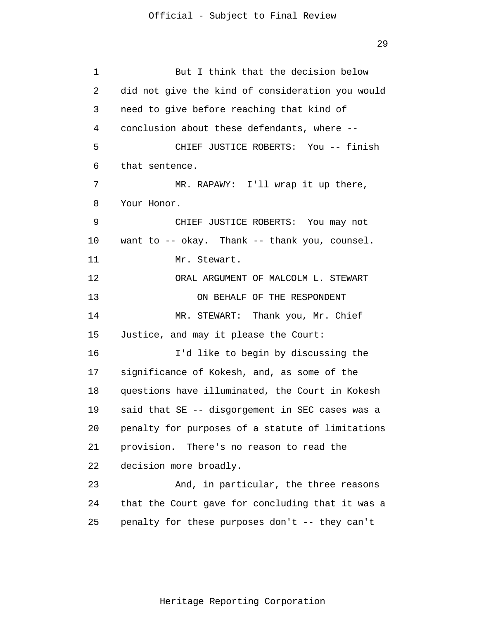1 2 3 4 5 6 7 8 9 10 11 12 13 14 15 16 17 18 19 20 21 22 23 24 25 But I think that the decision below did not give the kind of consideration you would need to give before reaching that kind of conclusion about these defendants, where -- CHIEF JUSTICE ROBERTS: You -- finish that sentence. MR. RAPAWY: I'll wrap it up there, Your Honor. CHIEF JUSTICE ROBERTS: You may not want to -- okay. Thank -- thank you, counsel. Mr. Stewart. ORAL ARGUMENT OF MALCOLM L. STEWART ON BEHALF OF THE RESPONDENT MR. STEWART: Thank you, Mr. Chief Justice, and may it please the Court: I'd like to begin by discussing the significance of Kokesh, and, as some of the questions have illuminated, the Court in Kokesh said that SE -- disgorgement in SEC cases was a penalty for purposes of a statute of limitations provision. There's no reason to read the decision more broadly. And, in particular, the three reasons that the Court gave for concluding that it was a penalty for these purposes don't -- they can't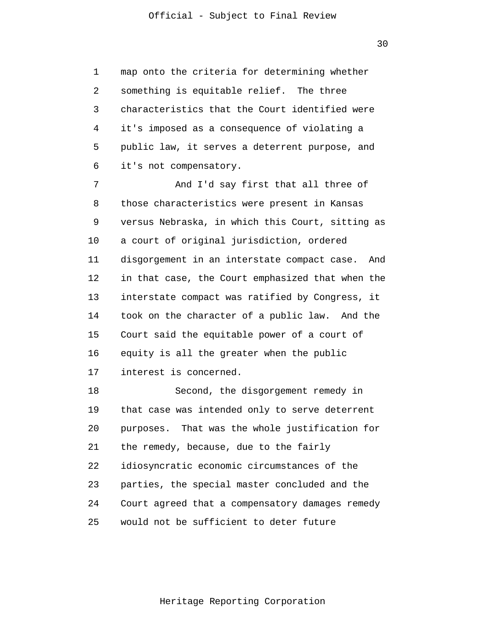1 2 3 4 5 6 map onto the criteria for determining whether something is equitable relief. The three characteristics that the Court identified were it's imposed as a consequence of violating a public law, it serves a deterrent purpose, and it's not compensatory.

7 8 9 10 11 12 13 14 15 16 17 And I'd say first that all three of those characteristics were present in Kansas versus Nebraska, in which this Court, sitting as a court of original jurisdiction, ordered disgorgement in an interstate compact case. And in that case, the Court emphasized that when the interstate compact was ratified by Congress, it took on the character of a public law. And the Court said the equitable power of a court of equity is all the greater when the public interest is concerned.

18 19 20 21 22 23 24 25 Second, the disgorgement remedy in that case was intended only to serve deterrent purposes. That was the whole justification for the remedy, because, due to the fairly idiosyncratic economic circumstances of the parties, the special master concluded and the Court agreed that a compensatory damages remedy would not be sufficient to deter future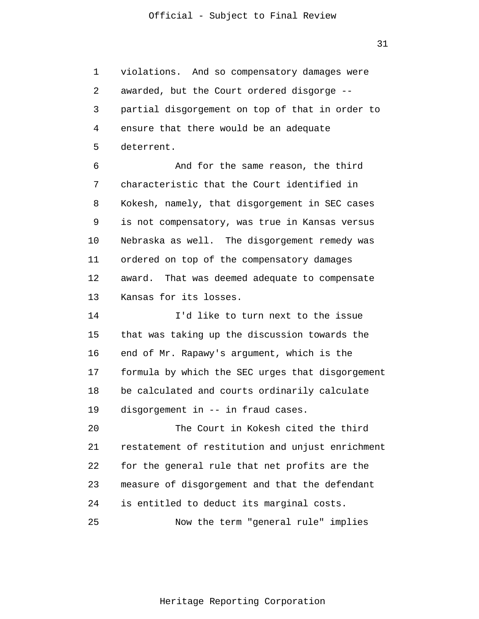1 2 3 4 5 violations. And so compensatory damages were awarded, but the Court ordered disgorge - partial disgorgement on top of that in order to ensure that there would be an adequate deterrent.

6 7 8 9 10 11 12 13 And for the same reason, the third characteristic that the Court identified in Kokesh, namely, that disgorgement in SEC cases is not compensatory, was true in Kansas versus Nebraska as well. The disgorgement remedy was ordered on top of the compensatory damages award. That was deemed adequate to compensate Kansas for its losses.

14 15 16 17 18 19 I'd like to turn next to the issue that was taking up the discussion towards the end of Mr. Rapawy's argument, which is the formula by which the SEC urges that disgorgement be calculated and courts ordinarily calculate disgorgement in -- in fraud cases.

20 21 22 23 24 25 The Court in Kokesh cited the third restatement of restitution and unjust enrichment for the general rule that net profits are the measure of disgorgement and that the defendant is entitled to deduct its marginal costs. Now the term "general rule" implies

31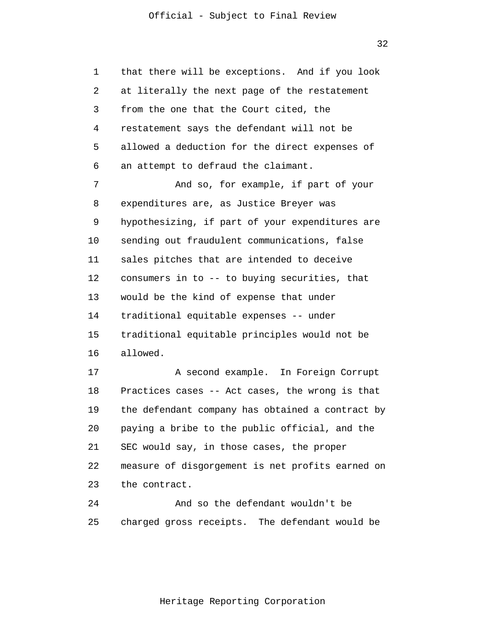1 2 3 4 5 6 7 8 9 10 11 12 13 14 15 16 17 18 19 20 21 22 23 24 that there will be exceptions. And if you look at literally the next page of the restatement from the one that the Court cited, the restatement says the defendant will not be allowed a deduction for the direct expenses of an attempt to defraud the claimant. And so, for example, if part of your expenditures are, as Justice Breyer was hypothesizing, if part of your expenditures are sending out fraudulent communications, false sales pitches that are intended to deceive consumers in to -- to buying securities, that would be the kind of expense that under traditional equitable expenses -- under traditional equitable principles would not be allowed. A second example. In Foreign Corrupt Practices cases -- Act cases, the wrong is that the defendant company has obtained a contract by paying a bribe to the public official, and the SEC would say, in those cases, the proper measure of disgorgement is net profits earned on the contract. And so the defendant wouldn't be

25 charged gross receipts. The defendant would be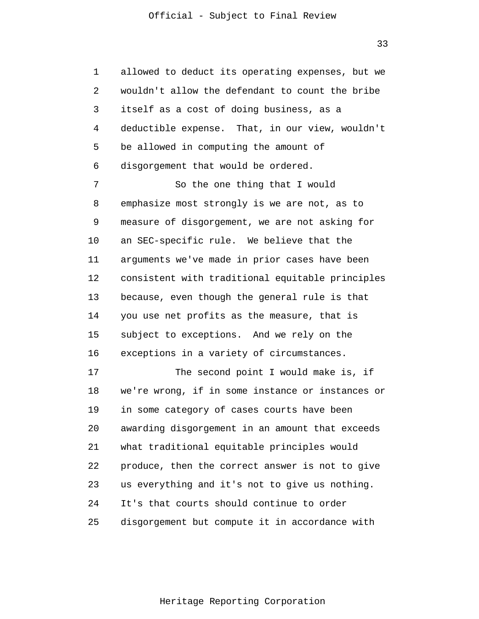1 2 3 4 5 6 allowed to deduct its operating expenses, but we wouldn't allow the defendant to count the bribe itself as a cost of doing business, as a deductible expense. That, in our view, wouldn't be allowed in computing the amount of disgorgement that would be ordered.

7 8 9 10 11 12 13 14 15 16 So the one thing that I would emphasize most strongly is we are not, as to measure of disgorgement, we are not asking for an SEC-specific rule. We believe that the arguments we've made in prior cases have been consistent with traditional equitable principles because, even though the general rule is that you use net profits as the measure, that is subject to exceptions. And we rely on the exceptions in a variety of circumstances.

17 18 19 20 21 22 23 24 25 The second point I would make is, if we're wrong, if in some instance or instances or in some category of cases courts have been awarding disgorgement in an amount that exceeds what traditional equitable principles would produce, then the correct answer is not to give us everything and it's not to give us nothing. It's that courts should continue to order disgorgement but compute it in accordance with

33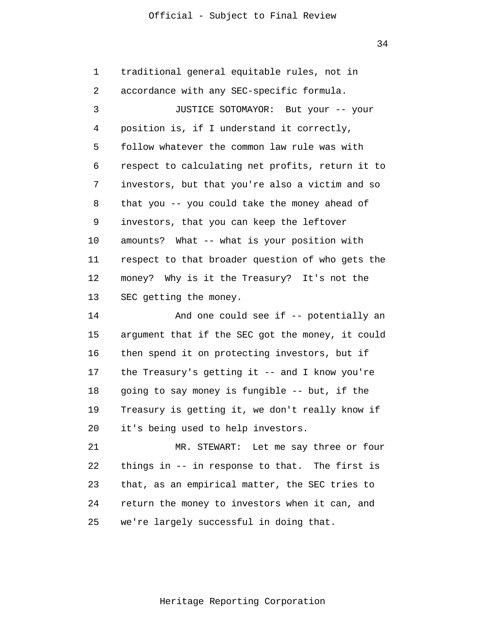34

1 2 3 4 5 6 7 8 9 10 11 12 13 14 15 16 17 18 19 20 21 22 23 24 25 traditional general equitable rules, not in accordance with any SEC-specific formula. JUSTICE SOTOMAYOR: But your -- your position is, if I understand it correctly, follow whatever the common law rule was with respect to calculating net profits, return it to investors, but that you're also a victim and so that you -- you could take the money ahead of investors, that you can keep the leftover amounts? What -- what is your position with respect to that broader question of who gets the money? Why is it the Treasury? It's not the SEC getting the money. And one could see if -- potentially an argument that if the SEC got the money, it could then spend it on protecting investors, but if the Treasury's getting it -- and I know you're going to say money is fungible -- but, if the Treasury is getting it, we don't really know if it's being used to help investors. MR. STEWART: Let me say three or four things in -- in response to that. The first is that, as an empirical matter, the SEC tries to return the money to investors when it can, and we're largely successful in doing that.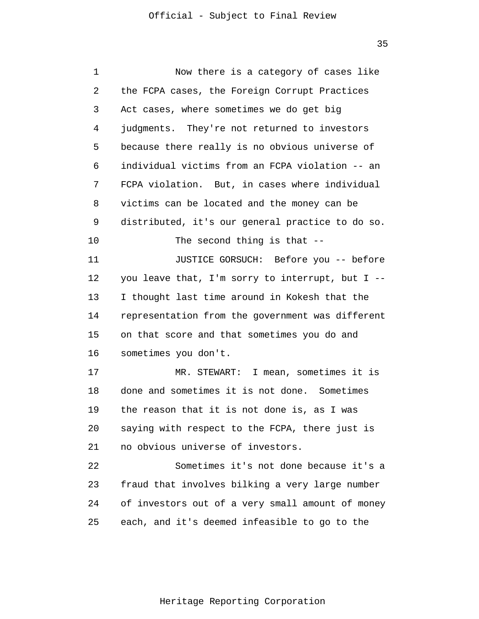| 1  | Now there is a category of cases like            |
|----|--------------------------------------------------|
| 2  | the FCPA cases, the Foreign Corrupt Practices    |
| 3  | Act cases, where sometimes we do get big         |
| 4  | judgments. They're not returned to investors     |
| 5  | because there really is no obvious universe of   |
| 6  | individual victims from an FCPA violation -- an  |
| 7  | FCPA violation. But, in cases where individual   |
| 8  | victims can be located and the money can be      |
| 9  | distributed, it's our general practice to do so. |
| 10 | The second thing is that --                      |
| 11 | JUSTICE GORSUCH: Before you -- before            |
| 12 | you leave that, I'm sorry to interrupt, but I -- |
| 13 | I thought last time around in Kokesh that the    |
| 14 | representation from the government was different |
| 15 | on that score and that sometimes you do and      |
| 16 | sometimes you don't.                             |
| 17 | MR. STEWART: I mean, sometimes it is             |
| 18 | done and sometimes it is not done. Sometimes     |
| 19 | the reason that it is not done is, as I was      |
| 20 | saying with respect to the FCPA, there just is   |
| 21 | no obvious universe of investors.                |
| 22 | Sometimes it's not done because it's a           |
| 23 | fraud that involves bilking a very large number  |
| 24 | of investors out of a very small amount of money |
| 25 | each, and it's deemed infeasible to go to the    |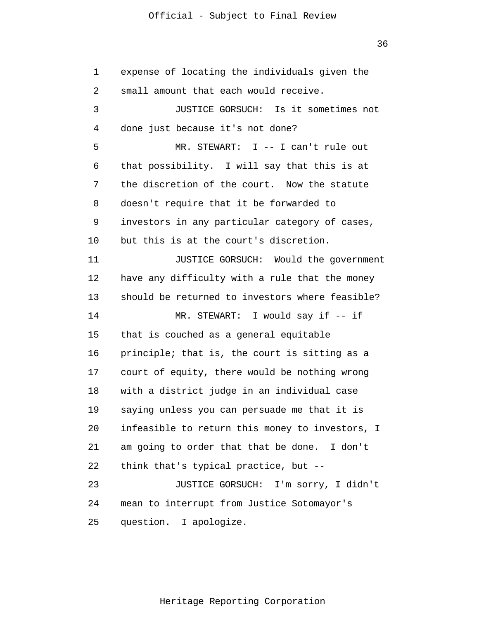36

1 2 3 4 5 6 7 8 9 10 11 12 13 14 15 16 17 18 19 20 21 22 23 24 25 expense of locating the individuals given the small amount that each would receive. JUSTICE GORSUCH: Is it sometimes not done just because it's not done? MR. STEWART: I -- I can't rule out that possibility. I will say that this is at the discretion of the court. Now the statute doesn't require that it be forwarded to investors in any particular category of cases, but this is at the court's discretion. JUSTICE GORSUCH: Would the government have any difficulty with a rule that the money should be returned to investors where feasible? MR. STEWART: I would say if -- if that is couched as a general equitable principle; that is, the court is sitting as a court of equity, there would be nothing wrong with a district judge in an individual case saying unless you can persuade me that it is infeasible to return this money to investors, I am going to order that that be done. I don't think that's typical practice, but -- JUSTICE GORSUCH: I'm sorry, I didn't mean to interrupt from Justice Sotomayor's question. I apologize.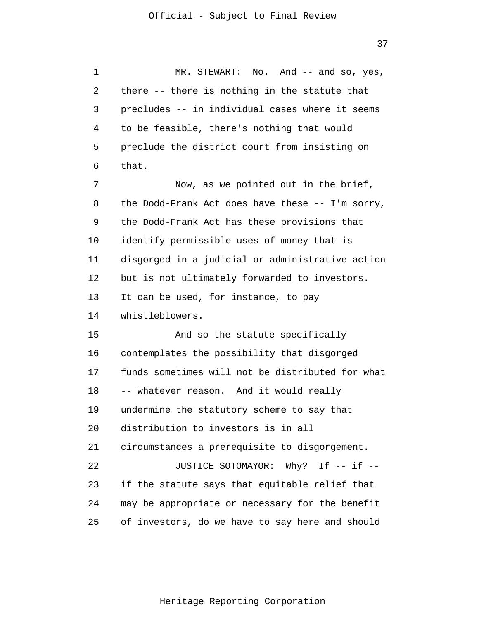1 2 3 4 5 6 7 8 9 10 11 12 13 14 15 16 17 18 19 20 21 22 23 24 25 MR. STEWART: No. And -- and so, yes, there -- there is nothing in the statute that precludes -- in individual cases where it seems to be feasible, there's nothing that would preclude the district court from insisting on that. Now, as we pointed out in the brief, the Dodd-Frank Act does have these -- I'm sorry, the Dodd-Frank Act has these provisions that identify permissible uses of money that is disgorged in a judicial or administrative action but is not ultimately forwarded to investors. It can be used, for instance, to pay whistleblowers. And so the statute specifically contemplates the possibility that disgorged funds sometimes will not be distributed for what -- whatever reason. And it would really undermine the statutory scheme to say that distribution to investors is in all circumstances a prerequisite to disgorgement. JUSTICE SOTOMAYOR: Why? If -- if -if the statute says that equitable relief that may be appropriate or necessary for the benefit of investors, do we have to say here and should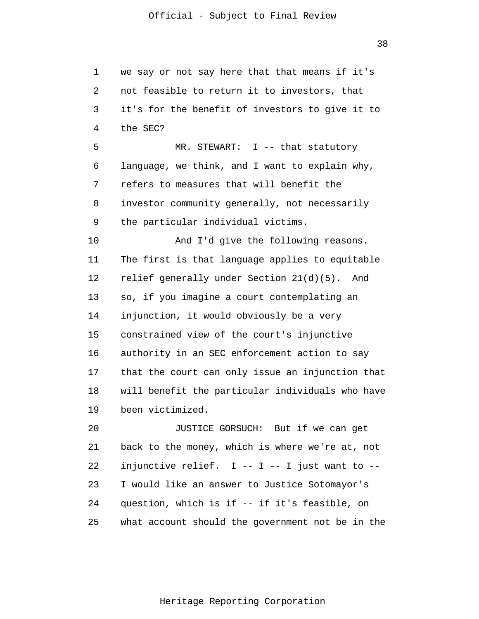1 2 3 4 5 6 7 8 9 10 11 12 13 14 15 16 17 18 19 20 21 22 23 24 25 we say or not say here that that means if it's not feasible to return it to investors, that it's for the benefit of investors to give it to the SEC? MR. STEWART: I -- that statutory language, we think, and I want to explain why, refers to measures that will benefit the investor community generally, not necessarily the particular individual victims. And I'd give the following reasons. The first is that language applies to equitable relief generally under Section 21(d)(5). And so, if you imagine a court contemplating an injunction, it would obviously be a very constrained view of the court's injunctive authority in an SEC enforcement action to say that the court can only issue an injunction that will benefit the particular individuals who have been victimized. JUSTICE GORSUCH: But if we can get back to the money, which is where we're at, not injunctive relief.  $I - - I - - I$  just want to --I would like an answer to Justice Sotomayor's question, which is if -- if it's feasible, on what account should the government not be in the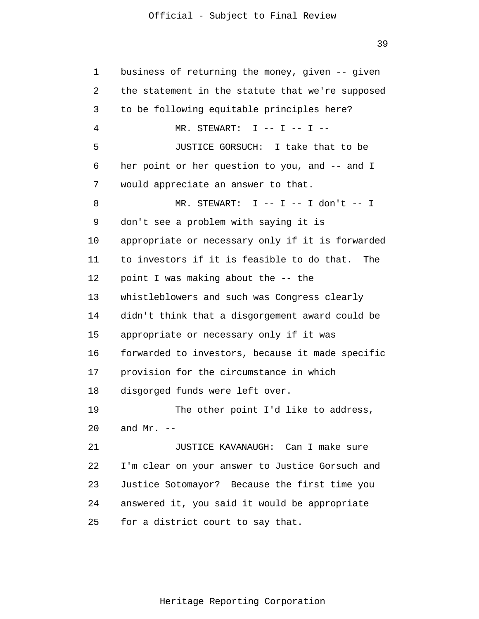1 2 3 4 5 6 7 8 9 10 11 12 13 14 15 16 17 18 19 20 21 22 23 24 25 business of returning the money, given -- given the statement in the statute that we're supposed to be following equitable principles here?  $MR.$  STEWART: I -- I -- I --JUSTICE GORSUCH: I take that to be her point or her question to you, and -- and I would appreciate an answer to that.  $MR.$  STEWART: I -- I -- I don't -- I don't see a problem with saying it is appropriate or necessary only if it is forwarded to investors if it is feasible to do that. The point I was making about the -- the whistleblowers and such was Congress clearly didn't think that a disgorgement award could be appropriate or necessary only if it was forwarded to investors, because it made specific provision for the circumstance in which disgorged funds were left over. The other point I'd like to address, and  $Mr. -$ JUSTICE KAVANAUGH: Can I make sure I'm clear on your answer to Justice Gorsuch and Justice Sotomayor? Because the first time you answered it, you said it would be appropriate for a district court to say that.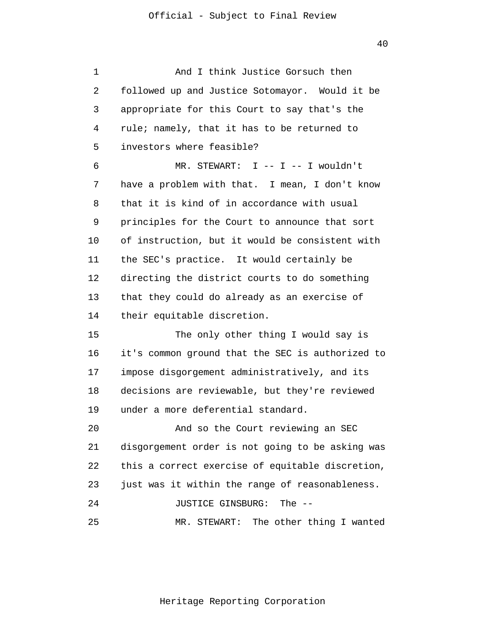1 2 3 4 5 6 7 8 9 10 11 12 13 14 15 16 17 18 19 20 21 22 23 24 25 And I think Justice Gorsuch then followed up and Justice Sotomayor. Would it be appropriate for this Court to say that's the rule; namely, that it has to be returned to investors where feasible? MR. STEWART: I -- I -- I wouldn't have a problem with that. I mean, I don't know that it is kind of in accordance with usual principles for the Court to announce that sort of instruction, but it would be consistent with the SEC's practice. It would certainly be directing the district courts to do something that they could do already as an exercise of their equitable discretion. The only other thing I would say is it's common ground that the SEC is authorized to impose disgorgement administratively, and its decisions are reviewable, but they're reviewed under a more deferential standard. And so the Court reviewing an SEC disgorgement order is not going to be asking was this a correct exercise of equitable discretion, just was it within the range of reasonableness. JUSTICE GINSBURG: The -- MR. STEWART: The other thing I wanted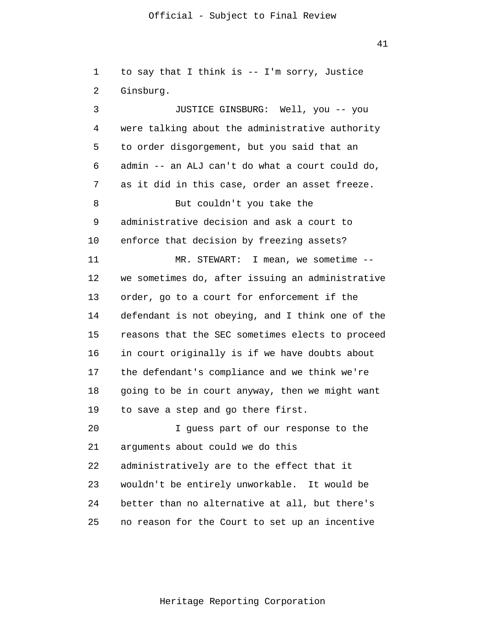41

1 2 3 4 5 6 7 8 9 10 to say that I think is -- I'm sorry, Justice Ginsburg. JUSTICE GINSBURG: Well, you -- you were talking about the administrative authority to order disgorgement, but you said that an admin -- an ALJ can't do what a court could do, as it did in this case, order an asset freeze. But couldn't you take the administrative decision and ask a court to enforce that decision by freezing assets?

11 12 13 14 15 16 17 18 19 MR. STEWART: I mean, we sometime - we sometimes do, after issuing an administrative order, go to a court for enforcement if the defendant is not obeying, and I think one of the reasons that the SEC sometimes elects to proceed in court originally is if we have doubts about the defendant's compliance and we think we're going to be in court anyway, then we might want to save a step and go there first.

20 21 22 23 24 25 I guess part of our response to the arguments about could we do this administratively are to the effect that it wouldn't be entirely unworkable. It would be better than no alternative at all, but there's no reason for the Court to set up an incentive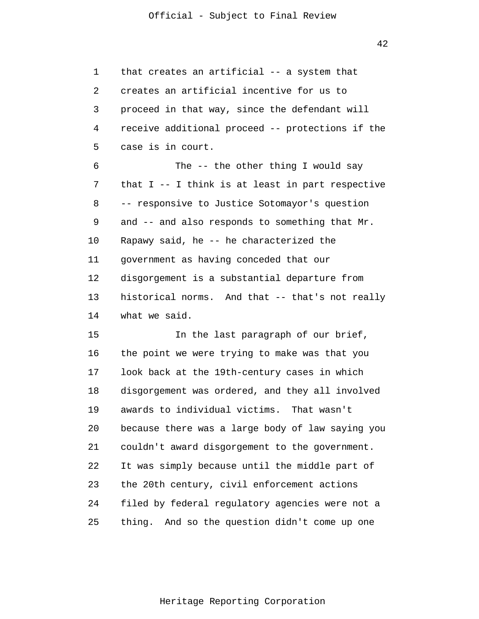1 2 3 4 5 6 7 8 9 that creates an artificial -- a system that creates an artificial incentive for us to proceed in that way, since the defendant will receive additional proceed -- protections if the case is in court. The -- the other thing I would say that I -- I think is at least in part respective -- responsive to Justice Sotomayor's question and -- and also responds to something that Mr.

10 11 12 13 14 Rapawy said, he -- he characterized the government as having conceded that our disgorgement is a substantial departure from historical norms. And that -- that's not really what we said.

15 16 17 18 19 20 21 22 23 24 25 In the last paragraph of our brief, the point we were trying to make was that you look back at the 19th-century cases in which disgorgement was ordered, and they all involved awards to individual victims. That wasn't because there was a large body of law saying you couldn't award disgorgement to the government. It was simply because until the middle part of the 20th century, civil enforcement actions filed by federal regulatory agencies were not a thing. And so the question didn't come up one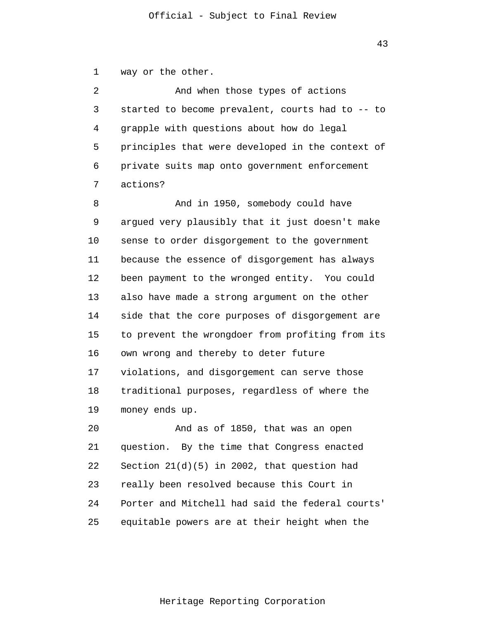1 way or the other.

2 3 4 5 6 7 And when those types of actions started to become prevalent, courts had to -- to grapple with questions about how do legal principles that were developed in the context of private suits map onto government enforcement actions?

8 9 10 11 12 13 14 15 16 17 18 19 And in 1950, somebody could have argued very plausibly that it just doesn't make sense to order disgorgement to the government because the essence of disgorgement has always been payment to the wronged entity. You could also have made a strong argument on the other side that the core purposes of disgorgement are to prevent the wrongdoer from profiting from its own wrong and thereby to deter future violations, and disgorgement can serve those traditional purposes, regardless of where the money ends up.

20 21 22 23 24 25 And as of 1850, that was an open question. By the time that Congress enacted Section 21(d)(5) in 2002, that question had really been resolved because this Court in Porter and Mitchell had said the federal courts' equitable powers are at their height when the

43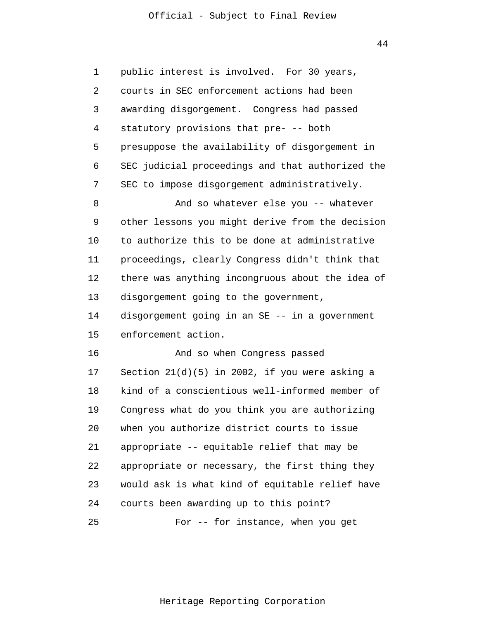44

1 2 3 4 5 6 7 8 9 10 11 12 13 14 15 16 17 18 19 20 21 22 23 24 25 public interest is involved. For 30 years, courts in SEC enforcement actions had been awarding disgorgement. Congress had passed statutory provisions that pre- -- both presuppose the availability of disgorgement in SEC judicial proceedings and that authorized the SEC to impose disgorgement administratively. And so whatever else you -- whatever other lessons you might derive from the decision to authorize this to be done at administrative proceedings, clearly Congress didn't think that there was anything incongruous about the idea of disgorgement going to the government, disgorgement going in an SE -- in a government enforcement action. And so when Congress passed Section 21(d)(5) in 2002, if you were asking a kind of a conscientious well-informed member of Congress what do you think you are authorizing when you authorize district courts to issue appropriate -- equitable relief that may be appropriate or necessary, the first thing they would ask is what kind of equitable relief have courts been awarding up to this point? For -- for instance, when you get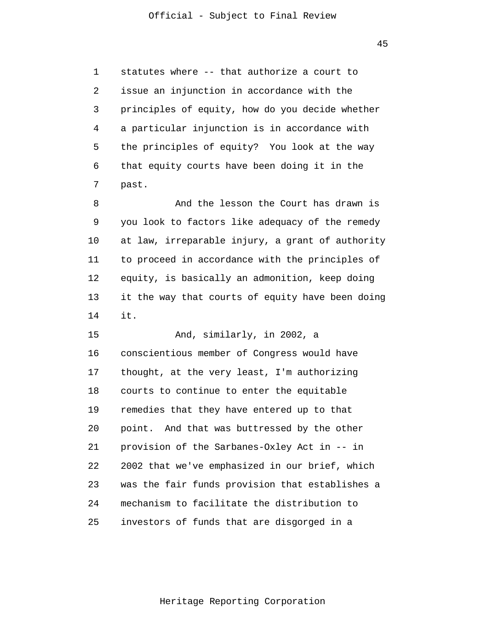1 2 3 4 5 6 7 statutes where -- that authorize a court to issue an injunction in accordance with the principles of equity, how do you decide whether a particular injunction is in accordance with the principles of equity? You look at the way that equity courts have been doing it in the past.

8 9 10 11 12 13 14 And the lesson the Court has drawn is you look to factors like adequacy of the remedy at law, irreparable injury, a grant of authority to proceed in accordance with the principles of equity, is basically an admonition, keep doing it the way that courts of equity have been doing it.

15 16 17 18 19 20 21 22 23 24 25 And, similarly, in 2002, a conscientious member of Congress would have thought, at the very least, I'm authorizing courts to continue to enter the equitable remedies that they have entered up to that point. And that was buttressed by the other provision of the Sarbanes-Oxley Act in -- in 2002 that we've emphasized in our brief, which was the fair funds provision that establishes a mechanism to facilitate the distribution to investors of funds that are disgorged in a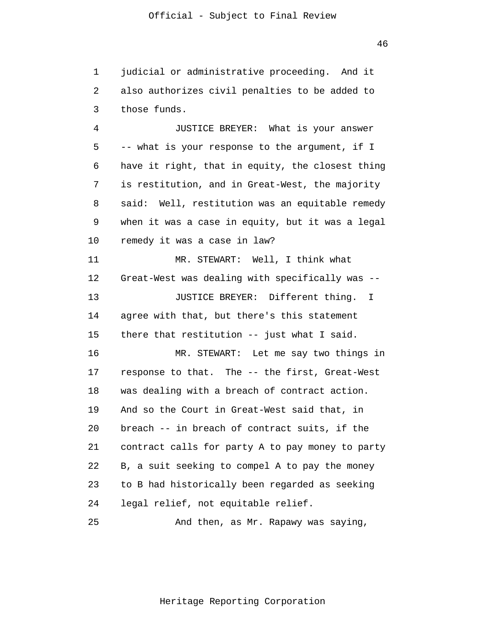1 2 3 judicial or administrative proceeding. And it also authorizes civil penalties to be added to those funds.

4 5 6 7 8 9 10 11 12 13 14 15 16 17 18 19 20 21 22 23 24 JUSTICE BREYER: What is your answer -- what is your response to the argument, if I have it right, that in equity, the closest thing is restitution, and in Great-West, the majority said: Well, restitution was an equitable remedy when it was a case in equity, but it was a legal remedy it was a case in law? MR. STEWART: Well, I think what Great-West was dealing with specifically was -- JUSTICE BREYER: Different thing. I agree with that, but there's this statement there that restitution -- just what I said. MR. STEWART: Let me say two things in response to that. The -- the first, Great-West was dealing with a breach of contract action. And so the Court in Great-West said that, in breach -- in breach of contract suits, if the contract calls for party A to pay money to party B, a suit seeking to compel A to pay the money to B had historically been regarded as seeking legal relief, not equitable relief.

25 And then, as Mr. Rapawy was saying,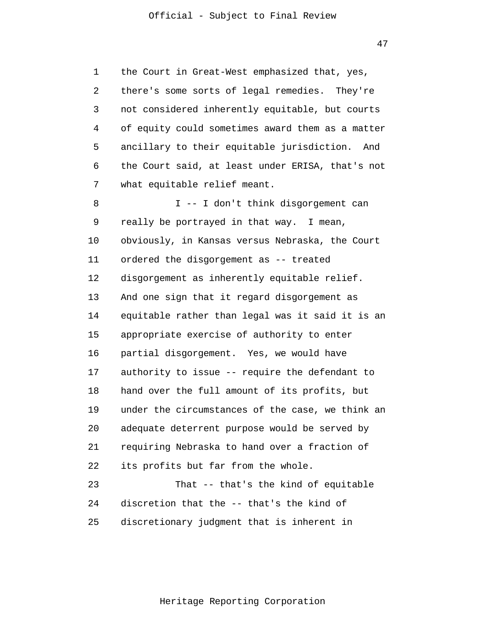1 2 3 4 5 6 7 the Court in Great-West emphasized that, yes, there's some sorts of legal remedies. They're not considered inherently equitable, but courts of equity could sometimes award them as a matter ancillary to their equitable jurisdiction. And the Court said, at least under ERISA, that's not what equitable relief meant.

8 9 10 11 12 13 14 15 16 17 18 19 20 21 22 23 24 I -- I don't think disgorgement can really be portrayed in that way. I mean, obviously, in Kansas versus Nebraska, the Court ordered the disgorgement as -- treated disgorgement as inherently equitable relief. And one sign that it regard disgorgement as equitable rather than legal was it said it is an appropriate exercise of authority to enter partial disgorgement. Yes, we would have authority to issue -- require the defendant to hand over the full amount of its profits, but under the circumstances of the case, we think an adequate deterrent purpose would be served by requiring Nebraska to hand over a fraction of its profits but far from the whole. That -- that's the kind of equitable discretion that the -- that's the kind of

25 discretionary judgment that is inherent in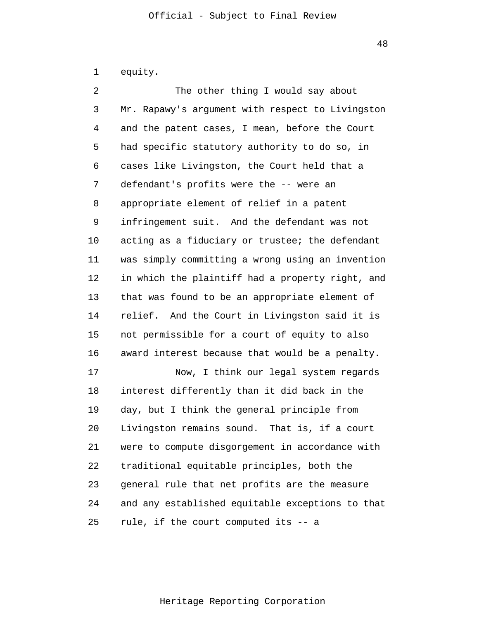1 equity.

2 3 4 5 6 7 8 9 10 11 12 13 14 15 16 17 18 19 20 21 22 23 24 25 The other thing I would say about Mr. Rapawy's argument with respect to Livingston and the patent cases, I mean, before the Court had specific statutory authority to do so, in cases like Livingston, the Court held that a defendant's profits were the -- were an appropriate element of relief in a patent infringement suit. And the defendant was not acting as a fiduciary or trustee; the defendant was simply committing a wrong using an invention in which the plaintiff had a property right, and that was found to be an appropriate element of relief. And the Court in Livingston said it is not permissible for a court of equity to also award interest because that would be a penalty. Now, I think our legal system regards interest differently than it did back in the day, but I think the general principle from Livingston remains sound. That is, if a court were to compute disgorgement in accordance with traditional equitable principles, both the general rule that net profits are the measure and any established equitable exceptions to that rule, if the court computed its -- a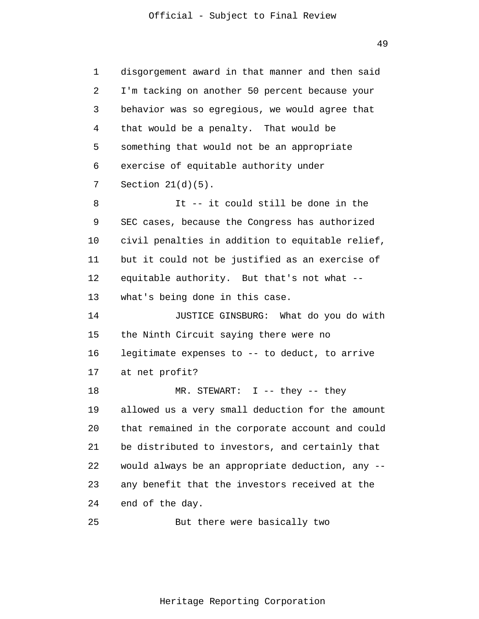1 2 3 4 5 6 7 8 9 10 11 12 13 14 15 16 17 18 19 20 21 22 23 24 disgorgement award in that manner and then said I'm tacking on another 50 percent because your behavior was so egregious, we would agree that that would be a penalty. That would be something that would not be an appropriate exercise of equitable authority under Section  $21(d)(5)$ . It -- it could still be done in the SEC cases, because the Congress has authorized civil penalties in addition to equitable relief, but it could not be justified as an exercise of equitable authority. But that's not what - what's being done in this case. JUSTICE GINSBURG: What do you do with the Ninth Circuit saying there were no legitimate expenses to -- to deduct, to arrive at net profit? MR. STEWART: I -- they -- they allowed us a very small deduction for the amount that remained in the corporate account and could be distributed to investors, and certainly that would always be an appropriate deduction, any - any benefit that the investors received at the end of the day.

25 But there were basically two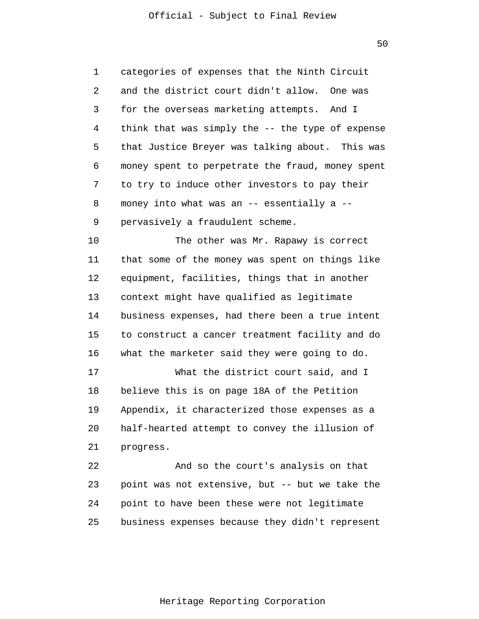1 2 3 4 5 6 7 8 9 categories of expenses that the Ninth Circuit and the district court didn't allow. One was for the overseas marketing attempts. And I think that was simply the -- the type of expense that Justice Breyer was talking about. This was money spent to perpetrate the fraud, money spent to try to induce other investors to pay their money into what was an -- essentially a - pervasively a fraudulent scheme.

10 11 12 13 14 15 16 The other was Mr. Rapawy is correct that some of the money was spent on things like equipment, facilities, things that in another context might have qualified as legitimate business expenses, had there been a true intent to construct a cancer treatment facility and do what the marketer said they were going to do.

17 18 19 20 21 What the district court said, and I believe this is on page 18A of the Petition Appendix, it characterized those expenses as a half-hearted attempt to convey the illusion of progress.

22 23 24 25 And so the court's analysis on that point was not extensive, but -- but we take the point to have been these were not legitimate business expenses because they didn't represent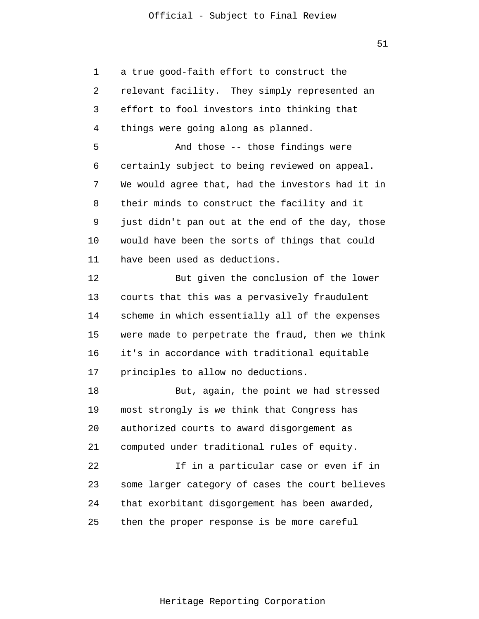51

1 2 3 4 5 6 7 8 9 10 11 12 13 14 15 16 17 18 19 20 21 22 23 24 25 a true good-faith effort to construct the relevant facility. They simply represented an effort to fool investors into thinking that things were going along as planned. And those -- those findings were certainly subject to being reviewed on appeal. We would agree that, had the investors had it in their minds to construct the facility and it just didn't pan out at the end of the day, those would have been the sorts of things that could have been used as deductions. But given the conclusion of the lower courts that this was a pervasively fraudulent scheme in which essentially all of the expenses were made to perpetrate the fraud, then we think it's in accordance with traditional equitable principles to allow no deductions. But, again, the point we had stressed most strongly is we think that Congress has authorized courts to award disgorgement as computed under traditional rules of equity. If in a particular case or even if in some larger category of cases the court believes that exorbitant disgorgement has been awarded, then the proper response is be more careful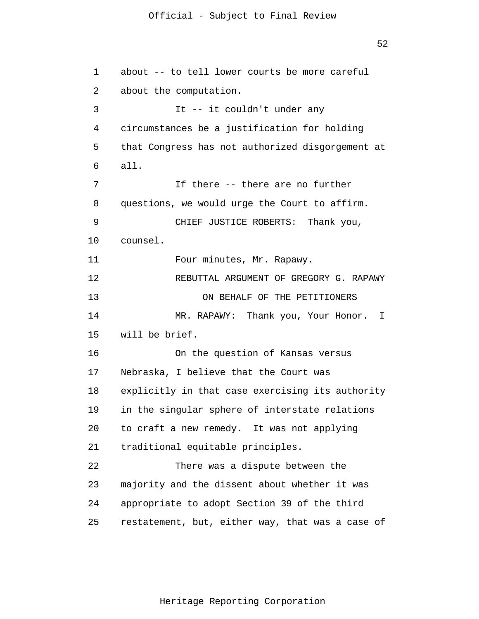52

```
1 
 2 
 3 
 4 
 5 
 6 
 7 
 8 
 9 
10 
11 
12 
13 
14 
15 
16 
17 
18 
19 
20 
21 
22 
23 
24 
25 
      about -- to tell lower courts be more careful
       about the computation.
                  It -- it couldn't under any
       circumstances be a justification for holding
       that Congress has not authorized disgorgement at
       all.
                  If there -- there are no further 
      questions, we would urge the Court to affirm.
                 CHIEF JUSTICE ROBERTS: Thank you, 
      counsel. 
                Four minutes, Mr. Rapawy. 
                REBUTTAL ARGUMENT OF GREGORY G. RAPAWY
                       ON BEHALF OF THE PETITIONERS 
                MR. RAPAWY: Thank you, Your Honor. I 
      will be brief. 
                On the question of Kansas versus 
      Nebraska, I believe that the Court was 
      explicitly in that case exercising its authority 
      in the singular sphere of interstate relations 
      to craft a new remedy. It was not applying 
      traditional equitable principles. 
                There was a dispute between the 
      majority and the dissent about whether it was 
      appropriate to adopt Section 39 of the third 
      restatement, but, either way, that was a case of
```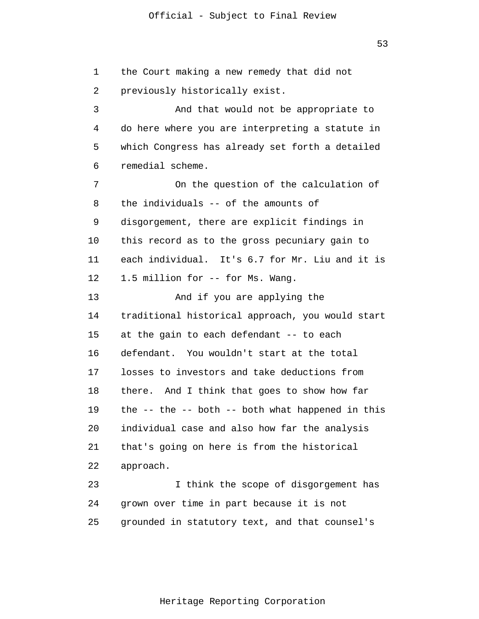53

1 2 3 4 5 6 7 8 9 10 11 12 13 14 15 16 17 18 19 20 21 22 23 24 25 the Court making a new remedy that did not previously historically exist. And that would not be appropriate to do here where you are interpreting a statute in which Congress has already set forth a detailed remedial scheme. On the question of the calculation of the individuals -- of the amounts of disgorgement, there are explicit findings in this record as to the gross pecuniary gain to each individual. It's 6.7 for Mr. Liu and it is 1.5 million for -- for Ms. Wang. And if you are applying the traditional historical approach, you would start at the gain to each defendant -- to each defendant. You wouldn't start at the total losses to investors and take deductions from there. And I think that goes to show how far the -- the -- both -- both what happened in this individual case and also how far the analysis that's going on here is from the historical approach. I think the scope of disgorgement has grown over time in part because it is not grounded in statutory text, and that counsel's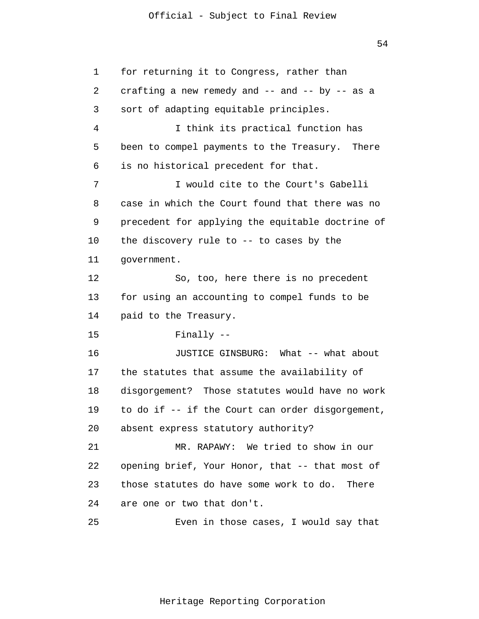54

1 2 3 4 5 6 7 8 9 10 11 12 13 14 15 16 17 18 19 20 21 22 23 24 25 for returning it to Congress, rather than crafting a new remedy and  $--$  and  $--$  by  $--$  as a sort of adapting equitable principles. I think its practical function has been to compel payments to the Treasury. There is no historical precedent for that. I would cite to the Court's Gabelli case in which the Court found that there was no precedent for applying the equitable doctrine of the discovery rule to -- to cases by the government. So, too, here there is no precedent for using an accounting to compel funds to be paid to the Treasury. Finally -- JUSTICE GINSBURG: What -- what about the statutes that assume the availability of disgorgement? Those statutes would have no work to do if -- if the Court can order disgorgement, absent express statutory authority? MR. RAPAWY: We tried to show in our opening brief, Your Honor, that -- that most of those statutes do have some work to do. There are one or two that don't. Even in those cases, I would say that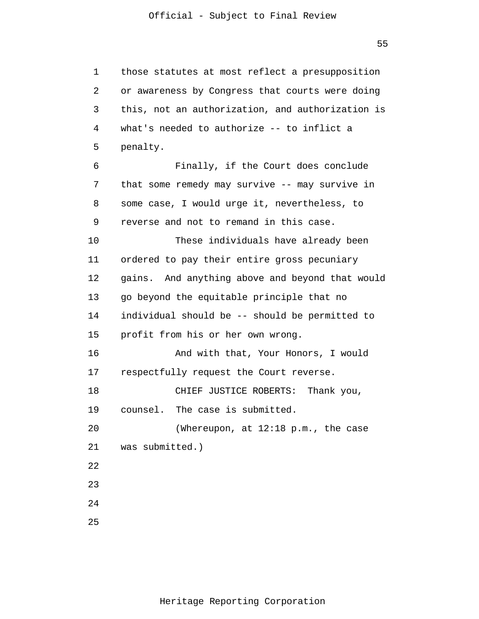1 2 3 4 5 6 7 8 9 10 11 12 13 14 15 16 17 18 19 20 21 22 23 24 25 those statutes at most reflect a presupposition or awareness by Congress that courts were doing this, not an authorization, and authorization is what's needed to authorize -- to inflict a penalty. Finally, if the Court does conclude that some remedy may survive -- may survive in some case, I would urge it, nevertheless, to reverse and not to remand in this case. These individuals have already been ordered to pay their entire gross pecuniary gains. And anything above and beyond that would go beyond the equitable principle that no individual should be -- should be permitted to profit from his or her own wrong. And with that, Your Honors, I would respectfully request the Court reverse. CHIEF JUSTICE ROBERTS: Thank you, counsel. The case is submitted. (Whereupon, at 12:18 p.m., the case was submitted.)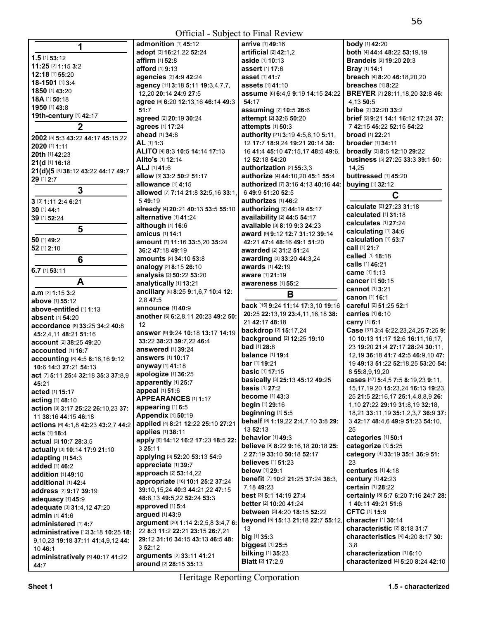| 1                                             | admonition [1] 45:12                      | arrive [1] 49:16                         | <b>body</b> [1] 42:20                                             |
|-----------------------------------------------|-------------------------------------------|------------------------------------------|-------------------------------------------------------------------|
|                                               | adopt [3] 16:21,22 52:24                  | artificial [2] 42:1,2                    | both [4] 44:4 48:22 53:19,19                                      |
| 1.5 [1] 53:12                                 | affirm [1] 52:8                           | aside [1] 10:13                          | <b>Brandeis [2] 19:20 20:3</b>                                    |
| 11:25 [2] 1:15 3:2                            | afford [1] 9:13                           | assert [1] 17:6                          | Bray [1] 14:1                                                     |
| 12:18 [1] 55:20                               | agencies [2] 4:9 42:24                    | asset [1] 41:7                           | breach [4] 8:20 46:18,20,20                                       |
| 18-1501 [1] 3:4                               | agency [11] 3:18 5:11 19:3,4,7,7,         | assets [1] 41:10                         | breaches [1] 8:22                                                 |
| 1850 [1] 43:20                                | 12.20 20:14 24:9 27:5                     | assume [6] 6:4,9 9:19 14:15 24:22        | BREYER [7] 28:11,18,20 32:8 46:                                   |
| 18A [1] 50:18                                 | agree [6] 6:20 12:13,16 46:14 49:3        | 54:17                                    | 4,13 50:5                                                         |
| 1950 [1] 43:8                                 | 51:7                                      | assuming [2] 10:5 26:6                   | bribe [2] 32:20 33:2                                              |
| 19th-century [1] 42:17                        | agreed [2] 20:19 30:24                    | attempt [2] 32:6 50:20                   | brief [9] 9:21 14:1 16:12 17:24 37:                               |
| $\overline{2}$                                | agrees [1] 17:24                          | attempts [1] 50:3                        | 7 42:15 45:22 52:15 54:22                                         |
| 2002 [5] 5:3 43:22 44:17 45:15,22             | ahead [1] 34:8                            | authority [21] 3:19 4:5,8,10 5:11,       | <b>broad</b> [1] 22:21                                            |
| 2020 [1] 1:11                                 | AL [1] 1:3                                | 12 17:7 18:9,24 19:21 20:14 38:          | <b>broader</b> [1] 34:11                                          |
| 20th [1] 42:23                                | ALITO [4] 8:3 10:5 14:14 17:13            | 16 41:4 45:10 47:15.17 48:5 49:6.        | broadly [3] 8:5 12:10 29:22                                       |
| 21(d [1] 16:18                                | Alito's [1] 12:14                         | 12 52:18 54:20                           | business [5] 27:25 33:3 39:1 50:                                  |
| 21(d)(5 [4] 38:12 43:22 44:17 49:7            | ALJ [1] 41:6                              | authorization [2] 55:3.3                 | 14.25                                                             |
| 29 [1] 2:7                                    | allow [3] 33:2 50:2 51:17                 | authorize [4] 44:10,20 45:1 55:4         | buttressed [1] 45:20                                              |
|                                               | allowance [1] 4:15                        | authorized [7] 3:16 4:13 40:16 44:       | buying [1] 32:12                                                  |
| 3                                             | allowed [7] 7:14 21:8 32:5,16 33:1,       | 6 49:9 51:20 52:5                        | C                                                                 |
| 3 [3] 1:11 2:4 6:21                           | 549:19                                    | authorizes [1] 46:2                      |                                                                   |
| 30 [1] 44:1                                   | already [4] 20:21 40:13 53:5 55:10        | authorizing [2] 44:19 45:17              | calculate [2] 27:23 31:18                                         |
| 39 [1] 52:24                                  | alternative [1] 41:24                     | availability [2] 44:5 54:17              | calculated [1] 31:18<br>calculates [1] 27:24                      |
| 5                                             | although [1] 16:6                         | available [3] 8:19 9:3 24:23             | calculating [1] 34:6                                              |
|                                               | amicus [1] 14:1                           | award [9] 9:12 12:7 31:12 39:14          | calculation [1] 53:7                                              |
| 50 [1] 49:2                                   | amount [7] 11:16 33:5,20 35:24            | 42:21 47:4 48:16 49:1 51:20              | call [1] 21:7                                                     |
| 52 [1] 2:10                                   | 36:2 47:18 49:19                          | awarded [2] 31:2 51:24                   | called [1] 18:18                                                  |
| $6\phantom{1}6$                               | <b>amounts</b> [2] 34:10 53:8             | awarding [3] 33:20 44:3,24               | <b>calls</b> [1] <b>46:</b> 21                                    |
| $6.7$ [1] $53:11$                             | analogy [2] 8:15 26:10                    | awards [1] 42:19                         | <b>came</b> [1] <b>1:</b> 13                                      |
| A                                             | analysis [2] 50:22 53:20                  | aware [1] 21:19                          | <b>cancer</b> [1] <b>50:15</b>                                    |
|                                               | analytically [1] 13:21                    | awareness [1] 55:2                       | <b>cannot</b> [1] 3:21                                            |
| a.m [2] 1:15 3:2                              | ancillary [8] 8:25 9:1,6,7 10:4 12:       | B                                        | canon [1] 16:1                                                    |
| above [1] 55:12                               | 2,8 47:5                                  | back [15] 9:24 11:14 17:3,10 19:16       | careful [2] 51:25 52:1                                            |
| above-entitled [1] 1:13                       | announce [1] 40:9                         | 20:25 22:13,19 23:4,11,16,18 38:         | carries [1] 6:10                                                  |
| <b>absent</b> [1] 54:20                       | another [6] 6:2,8,11 20:23 49:2 50:<br>12 | 21 42:17 48:18                           | carry [1] 6:1                                                     |
| accordance [8] 33:25 34:2 40:8                | answer [9] 9:24 10:18 13:17 14:19         | backdrop [2] 15:17,24                    | Case [37] 3:4 6:22,23,24,25 7:25 9:                               |
| 45:2,4,11 48:21 51:16                         | 33:22 38:23 39:7,22 46:4                  | background [2] 12:25 19:10               | 10 10:13 11:17 12:6 16:11,16,17,                                  |
| account [2] 38:25 49:20<br>accounted [1] 16:7 | answered [1] 39:24                        | <b>bad</b> [1] 28:8                      | 23 19:20 21:4 27:17 28:24 30:11                                   |
| accounting [8] 4:5 8:16,16 9:12               | answers [1] 10:17                         | <b>balance</b> [1] 19:4                  | 12, 19 36: 18 41: 7 42: 5 46: 9, 10 47:                           |
| 10:6 14:3 27:21 54:13                         | anyway [1] 41:18                          | bar [1] 19:21                            | 19 49:13 51:22 52:18,25 53:20 54:                                 |
| act [7] 5:11 25:4 32:18 35:3 37:8,9           | apologize [1] 36:25                       | <b>basic</b> [1] 17:15                   | 8 55:8,9,19,20                                                    |
| 45:21                                         | apparently [1] 25:7                       | basically [3] 25:13 45:12 49:25          | cases [47] 5:4,5 7:5 8:19,23 9:11,                                |
| acted [1] 15:17                               | appeal [1] 51:6                           | <b>basis</b> [1] 27:2                    | 15,17,19,20 15:23,24 16:13 19:23,                                 |
| acting [1] 48:10                              | APPEARANCES [1] 1:17                      | <b>become</b> [1] 43:3                   | 25 21:5 22:16.17 25:1.4.8.8.9 26:                                 |
| action [8] 3:17 25:22 26:10,23 37:            | appearing [1] 6:5                         | begin [1] 29:16                          | 1,10 27:22 29:19 31:8,19 32:18,                                   |
| 11 38:16 44:15 46:18                          | <b>Appendix [1] 50:19</b>                 | beginning [1] 5:5                        | 18,21 33:11,19 35:1,2,3,7 36:9 37:                                |
| actions [6] 4:1,8 42:23 43:2,7 44:2           | applied [4] 8:21 12:22 25:10 27:21        | behalf [8] 1:19,22 2:4,7,10 3:8 29:      | 3 42:17 48:4,6 49:9 51:23 54:10,                                  |
| <b>acts [1] 18:4</b>                          | applies [1] 38:11                         | 13 52:13                                 | 25                                                                |
| actual [3] 10:7 28:3,5                        | apply [6] 14:12 16:2 17:23 18:5 22:       | behavior [1] 49:3                        | categories [1] 50:1                                               |
| actually [3] 10:14 17:9 21:10                 | 3 25:11                                   | believe [9] 8:22 9:16,18 20:18 25:       | categorize [1] 5:25                                               |
| adapting [1] 54:3                             | applying [3] 52:20 53:13 54:9             | 2 27:19 33:10 50:18 52:17                | category [4] 33:19 35:1 36:9 51:                                  |
| added [1] 46:2                                | appreciate [1] 39:7                       | <b>believes</b> [1] <b>51:23</b>         | 23                                                                |
| addition [1] 49:10                            | approach [2] 53:14,22                     | <b>below</b> [1] 29:1                    | centuries $[1]$ 4:18                                              |
| additional [1] 42:4                           | appropriate [16] 10:1 25:2 37:24          | benefit [7] 10:2 21:25 37:24 38:3,       | century [1] 42:23                                                 |
| address [2] 9:17 39:19                        | 39:10, 15, 24 40: 3 44: 21, 22 47: 15     | 7,18 49:23                               | <b>certain</b> [1] 28:22                                          |
| adequacy [1] 45:9                             | 48:8,13 49:5,22 52:24 53:3                | best [3] 5:1 14:19 27:4                  | certainly [8] 5:7 6:20 7:16 24:7 28:                              |
| adequate [3] 31:4,12 47:20                    | approved [1] 5:4                          | better [2] 10:20 41:24                   | 140:1149:2151:6                                                   |
| admin [1] 41:6                                | argued [1] 43:9                           | between [3] 4:20 18:15 52:22             | CFTC [1] 15:9                                                     |
| administered [1] 4:7                          | argument [20] 1:14 2:2,5,8 3:4,7 6:       | beyond [5] 15:13 21:18 22:7 55:12,<br>13 | <b>character</b> [1] <b>30:14</b><br>characteristic [2] 8:18 31:7 |
| administrative [12] 3:18 10:25 18:            | 22 8:3 11:2 22:21 23:15 26:7,21           | big [1] 35:3                             | <b>characteristics</b> [4] 4:20 8:17 30:                          |
| 9,10,23 19:18 37:11 41:4,9,12 44:             | 29:12 31:16 34:15 43:13 46:5 48:          | biggest [1] 25:5                         | 3.8                                                               |
| 10 46:1                                       | 352:12                                    | <b>bilking</b> [1] 35:23                 | characterization [1] 6:10                                         |
| administratively [3] 40:17 41:22              | arguments [2] 33:11 41:21                 | <b>Blatt</b> [2] 17:2,9                  | characterized [4] 5:20 8:24 42:10                                 |
| 44:7                                          | around [2] 28:15 35:13                    |                                          |                                                                   |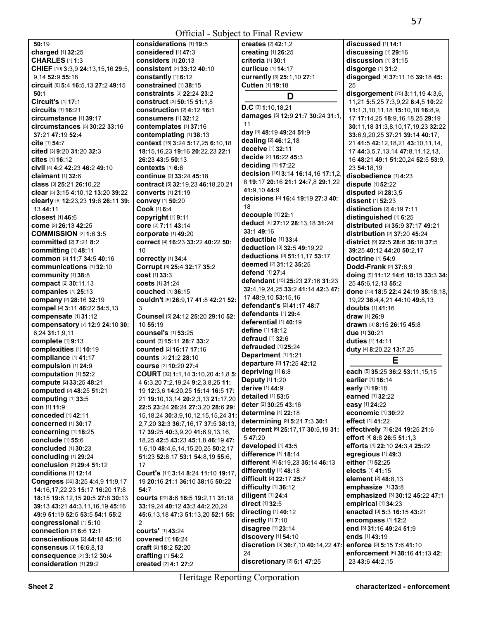| 50:19                                       | considerations [1] 19:5                     | creates [2] 42:1,2                            | discussed [1] 14:1                       |
|---------------------------------------------|---------------------------------------------|-----------------------------------------------|------------------------------------------|
| charged [1] 32:25                           | considered [1] 47:3                         | creating [1] 26:25                            | discussing [1] 29:16                     |
| <b>CHARLES [1] 1:3</b>                      | considers [1] 20:13                         | criteria [1] 30:1                             | discussion [1] 31:15                     |
| CHIEF [10] 3:3,9 24:13,15,16 29:5,          | <b>consistent</b> [2] 33:12 40:10           | <b>curlicue</b> [1] 14:17                     | disgorge [1] 31:2                        |
| 9.14 52:9 55:18                             | constantly [1] 6:12                         | currently [3] 25:1,10 27:1                    | disgorged [4] 37:11,16 39:18 45:         |
| Circuit [6] 5:4 16:5,13 27:2 49:15          | constrained [1] 38:15                       | Cutten [1] 19:18                              | 25                                       |
| 50:1                                        | <b>constraints</b> [2] <b>22:24 23:2</b>    | D                                             | disgorgement [75] 3:11,19 4:3,6,         |
| Circuit's [1] 17:1                          | <b>construct</b> [3] <b>50:15 51:1.8</b>    |                                               | 11,21 5:5,25 7:3,9,22 8:4,5 10:22        |
| circuits [1] 16:21                          | construction [2] 4:12 16:1                  | $D.C$ [3] 1:10,18,21                          | 11:1,3,10,11,18 15:10,18 16:8,9,         |
| circumstance [1] 39:17                      | consumers [1] 32:12                         | damages [5] 12:9 21:7 30:24 31:1,             | 17 17:14,25 18:9,16,18,25 29:19          |
| <b>circumstances</b> [5] <b>30:22 33:16</b> | contemplates [1] 37:16                      | 11                                            | 30:11, 18 31:3, 8, 10, 17, 19, 23 32: 22 |
| 37:21 47:19 52:4                            | contemplating [1] 38:13                     | day [3] 48:19 49:24 51:9                      | 33:6,9,20,25 37:21 39:14 40:17,          |
| cite [1] 54:7                               | context [15] 3:24 5:17,25 6:10,18           | dealing [2] 46:12,18                          | 21 41:5 42:12,18,21 43:10,11,14,         |
| cited [3] 9:20 31:20 32:3                   | 18:15,16,23 19:16 20:22,23 22:1             | deceive [1] 32:11                             | 17 44:3,5,7,13,14 47:8,11,12,13,         |
| cites [1] 16:12                             | 26:23 43:5 50:13                            | decide [2] 16:22 45:3                         | 16 48:21 49:1 51:20,24 52:5 53:9,        |
| civil [4] 4:2 42:23 46:2 49:10              | <b>contexts</b> [1] 6:6                     | deciding [1] 17:22                            | 23 54:18,19                              |
| claimant $[1]$ 32:6                         | continue [2] 33:24 45:18                    | decision [16] 3:14 16:14,16 17:1,2,           | disobedience [1] 4:23                    |
| class [3] 25:21 26:10,22                    | contract [5] 32:19,23 46:18,20,21           | 8 19:17 20:16 21:1 24:7,8 29:1,22             | dispute [1] 52:22                        |
| clear [5] 3:15 4:10,12 13:20 39:22          | <b>converts</b> [1] 21:19                   | 41:9,10 44:9                                  | disputed $[2]$ 28:3.5                    |
| clearly [6] 12:23,23 19:6 26:11 39:         | convey [1] 50:20                            | decisions [4] 16:4 19:19 27:3 40:             | dissent [1] 52:23                        |
| 13 44:11                                    | Cook [1] 6:4                                | 18                                            | distinction [2] 4:19 7:11                |
| closest [1] 46:6                            | copyright [1] 9:11                          | decouple [1] 22:1                             | distinguished [1] 6:25                   |
| come [2] 26:13 42:25                        | core [2] 7:11 43:14                         | deduct [6] 27:12 28:13,18 31:24               | distributed [3] 35:9 37:17 49:21         |
| <b>COMMISSION [2] 1:6 3:5</b>               | corporate [1] 49:20                         | 33:149:16                                     | distribution [2] 37:20 45:24             |
| <b>committed</b> [2] 7:21 8:2               | correct [4] 16:23 33:22 40:22 50:           | deductible [1] 33:4                           | <b>district</b> [9] 22:5 28:6 36:18 37:5 |
| committing [1] 48:11                        | 10                                          | deduction [3] 32:5 49:19,22                   | 39:25 40:12 44:20 50:2,17                |
| common [3] 11:7 34:5 40:16                  | correctly [1] 34:4                          | deductions [3] 51:11,17 53:17                 | doctrine [1] 54:9                        |
| communications [1] 32:10                    | Corrupt [3] 25:4 32:17 35:2                 | <b>deemed</b> [2] <b>31:</b> 12 <b>35:</b> 25 | Dodd-Frank [2] 37:8,9                    |
| community [1] 38:8                          | cost [1] 33:3                               | defend [1] 27:4                               | doing [9] 11:12 14:6 18:15 33:3 34:      |
| compact [2] 30:11,13                        | <b>costs</b> [1] 31:24                      | defendant [15] 25:23 27:16 31:23              | 25 45:6, 12, 13 55:2                     |
| companies [1] 25:13                         | couched [1] 36:15                           | 32:4, 19, 24, 25 33: 2 41: 14 42: 3 47:       | done [13] 18:5 22:4 24:19 35:18,18,      |
| company [2] 28:16 32:19                     | couldn't [5] 26:9,17 41:8 42:21 52:         | 17 48:9,10 53:15,16                           | 19,22 36:4,4,21 44:10 49:8,13            |
| compel [4] 3:11 46:22 54:5,13               | 3                                           | defendant's [2] 41:17 48:7                    | <b>doubts</b> [1] 41:16                  |
| compensate [1] 31:12                        | Counsel [5] 24:12 25:20 29:10 52:           | defendants [1] 29:4                           | <b>draw</b> [1] <b>26:</b> 9             |
| compensatory [7] 12:9 24:10 30:             | 10 55:19                                    | deferential [1] 40:19                         | <b>drawn</b> [3] <b>8:15 26:15 45:</b> 8 |
| 6,24 31:1,9,11                              | counsel's [1] 53:25                         | <b>define</b> [1] 18:12                       | due [1] 30:21                            |
| complete [1] 9:13                           | Count [3] 15:11 28:7 33:2                   | defraud [1] 32:6                              | <b>duties</b> [1] 14:11                  |
| complexities [1] 10:19                      | <b>counted</b> [2] 16:17 17:16              | defrauded [1] 25:24                           | duty [4] 8:20,22 13:7,25                 |
| compliance [1] 41:17                        | <b>counts</b> [2] 21:2 28:10                | Department [1] 1:21                           | Е                                        |
| compulsion [1] 24:9                         | course [2] 10:20 27:4                       | departure [2] 17:25 42:12                     |                                          |
| computation [1] 52:2                        | COURT [92] 1:1,14 3:10,20 4:1,8 5:          | depriving [1] 6:8                             | each [5] 35:25 36:2 53:11,15,15          |
| compute [2] 33:25 48:21                     | 4 6:3,20 7:2,19,24 9:2,3,8,25 11:           | Deputy [1] 1:20                               | earlier [1] 16:14                        |
| <b>computed</b> [2] 48:25 51:21             | 19 12:3,6 14:20,25 15:14 16:5 17:           | derive [1] 44:9                               | early [1] 19:18                          |
| computing [1] 33:5                          | 21 19:10,13,14 20:2,3,13 21:17,20           | detailed [1] 53:5                             | earned [1] 32:22                         |
| con [1] 11:9                                | 22:5 23:24 26:24 27:3,20 28:6 29:           | deter [2] 30:25 43:16                         | easy [1] 24:22                           |
| <b>conceded</b> [1] 42:11                   | 15, 18, 24 30: 3, 9, 10, 12, 15, 15, 24 31: | determine [1] 22:18                           | economic [1] 30:22                       |
| concerned [1] 30:17                         | 2,7,20 32:3 36:7,16,17 37:5 38:13,          | determining [3] 5:21 7:3 30:1                 | effect [1] 41:22                         |
| concerning [1] 18:25                        | 17 39:25 40:3,9,20 41:6,9,13,16,            | deterrent [6] 25:17,17 30:5,19 31:            | effectively [3] 6:24 19:25 21:6          |
| conclude [1] 55:6                           | 18,25 42:5 43:23 45:1,8 46:19 47:           | 547:20                                        | effort [4] 8:8 26:5 51:1,3               |
| concluded [1] 30:23                         | 1,6,10 48:4,6,14,15,20,25 50:2,17           | developed [1] 43:5                            | efforts [4] 22:10 24:3,4 25:22           |
| concluding [1] 29:24                        | 51:23 52:8,17 53:1 54:8,19 55:6,            | difference [1] 18:14                          | egregious [1] 49:3                       |
| conclusion [2] 29:4 51:12                   | 17                                          | different [4] 5:19,23 35:14 46:13             | either [1] 52:25                         |
| conditions [1] 12:14                        | Court's [11] 3:14 8:24 11:10 19:17,         | differently [1] 48:18                         | elects [1] 41:15                         |
| Congress [32] 3:25 4:4,9 11:9,17            | 19 20:16 21:1 36:10 38:15 50:22             | difficult [2] 22:17 25:7                      | element [2] 48:8.13                      |
| 14:16,17,22,23 15:17 16:20 17:8             | 54:7                                        | difficulty $[1]$ 36:12                        | emphasize [1] 33:8                       |
| 18:15 19:6,12,15 20:5 27:8 30:13            | courts [20] 8:6 16:5 19:2,11 31:18          | diligent [1] 24:4                             | emphasized [3] 30:12 45:22 47:1          |
| 39:13 43:21 44:3,11,16,19 45:16             | 33:19,24 40:12 43:3 44:2,20,24              | direct [1] 32:5                               | empirical [1] 34:23                      |
| 49:9 51:19 52:5 53:5 54:1 55:2              | 45:6,13,18 47:3 51:13,20 52:1 55:           | directing [1] 40:12                           | enacted [3] 5:3 16:15 43:21              |
| congressional [1] 5:10                      | 2                                           | directly [1] 7:10                             | encompass [1] 12:2                       |
| connection [2] 6:6 12:1                     | <b>courts'</b> [1] 43:24                    | disagree [1] 23:14                            | end [3] 31:16 49:24 51:9                 |
| conscientious [2] 44:18 45:16               | covered [1] 16:24                           | discovery [1] 54:10                           | ends [1] 43:19                           |
| <b>consensus</b> [3] 16:6,8,13              | craft [2] 18:2 52:20                        | discretion [5] 36:7,10 40:14,22 47:           | enforce [3] 5:15 7:6 41:10               |
| consequence [2] 3:12 30:4                   | crafting [1] 54:2                           | 24                                            | enforcement [6] 38:16 41:13 42:          |
| consideration [1] 29:2                      | created [2] 4:1 27:2                        | discretionary [2] 5:1 47:25                   | 23 43:6 44:2,15                          |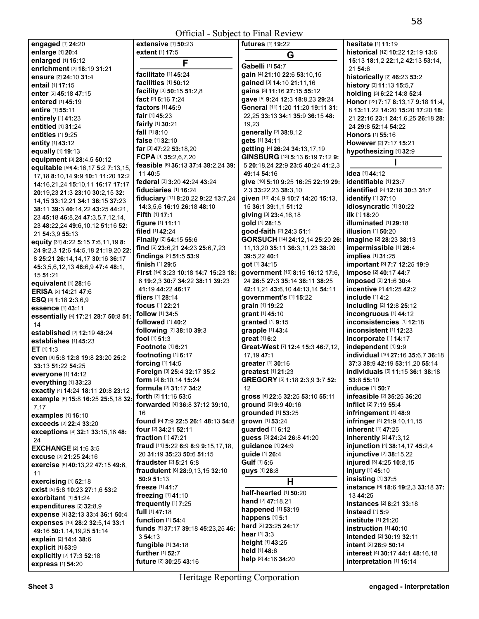Official - Subject to Final Review

| engaged [1] 24:20                                                         | extensive [1] 50:23                                        | futures [1] 19:22                                               | hesitate [1] 11:19                                |
|---------------------------------------------------------------------------|------------------------------------------------------------|-----------------------------------------------------------------|---------------------------------------------------|
| enlarge [1] 20:4                                                          | extent [1] 17:5                                            | G                                                               | historical [12] 10:22 12:19 13:6                  |
| enlarged [1] 15:12                                                        | F                                                          |                                                                 | 15:13 18:1,2 22:1,2 42:13 53:14,                  |
| enrichment [2] 18:19 31:21                                                |                                                            | Gabelli [1] 54:7                                                | 21 54:6                                           |
| ensure [2] 24:10 31:4                                                     | facilitate [1] 45:24<br>facilities [1] 50:12               | gain [4] 21:10 22:6 53:10,15                                    | historically [2] 46:23 53:2                       |
| <b>entail</b> [1] 17:15                                                   |                                                            | gained [3] 14:10 21:11,16                                       | history [3] 11:13 15:5,7                          |
| enter [2] 45:18 47:15                                                     | facility [3] 50:15 51:2,8<br>fact [2] 6:16 7:24            | gains [3] 11:16 27:15 55:12<br>gave [5] 9:24 12:3 18:8,23 29:24 | holding [3] 6:22 14:8 52:4                        |
| <b>entered</b> [1] <b>45:19</b>                                           | factors $[1]$ 45:9                                         | General [11] 1:20 11:20 19:11 31:                               | Honor [22] 7:17 8:13,17 9:18 11:4,                |
| entire [1] 55:11                                                          | <b>fair</b> [1] $45:23$                                    | 22,25 33:13 34:1 35:9 36:15 48:                                 | 8 13:11,22 14:20 15:20 17:20 18:                  |
| entirely [1] 41:23                                                        | fairly [1] 30:21                                           | 19,23                                                           | 21 22:16 23:1 24:1,6,25 26:18 28:                 |
| entitled [1] 31:24                                                        | <b>fall</b> $[1]$ 8:10                                     | generally [2] 38:8,12                                           | 24 29:8 52:14 54:22                               |
| entitles [1] 9:25                                                         | false [1] 32:10                                            | gets [1] 34:11                                                  | <b>Honors</b> [1] <b>55:1</b> 6                   |
| entity [1] 43:12                                                          | far [3] 47:22 53:18.20                                     | getting [4] 26:24 34:13,17,19                                   | However [2] 7:17 15:21                            |
| equally [1] 19:13                                                         | FCPA [4] $35:2,6,7,20$                                     | GINSBURG [13] 5:13 6:19 7:12 9:                                 | hypothesizing [1] 32:9                            |
| equipment [3] 28:4,5 50:12                                                | feasible [6] 36:13 37:4 38:2,24 39:                        | 5 20:18,24 22:9 23:5 40:24 41:2,3                               |                                                   |
| equitable [59] 4:16,17 5:2 7:13,15,                                       | 11 40:5                                                    | 49:14 54:16                                                     | idea [1] 44:12                                    |
| 17, 18 8: 10, 14 9: 9 10: 1 11: 20 12: 2                                  | federal [3] 3:20 42:24 43:24                               | give [10] 5:10 9:25 16:25 22:19 29:                             | identifiable [1] 23:7                             |
| 14:16,21,24 15:10,11 16:17 17:17                                          | fiduciaries [1] 16:24                                      | 2,3 33:22,23 38:3,10                                            | identified [3] 12:18 30:3 31:7                    |
| 20:19,23 21:3 23:10 30:2,15 32:                                           | fiduciary [11] 8:20,22 9:22 13:7,24                        | given [10] 4:4,9 10:7 14:20 15:13,                              | identify [1] 37:10                                |
| 14, 15 33: 12, 21 34: 1 36: 15 37: 23<br>38:11 39:3 40:14,22 43:25 44:21, | 14:3,5,6 16:19 26:18 48:10                                 | 15 36:1 39:1,1 51:12                                            | idiosyncratic [1] 30:22                           |
|                                                                           | Fifth [1] 17:1                                             | giving [3] 23:4,16,18                                           | ilk [1] 18:20                                     |
| 23 45:18 46:8,24 47:3,5,7,12,14,<br>23 48:22,24 49:6,10,12 51:16 52:      | figure [1] 11:11                                           | gold [1] 28:15                                                  | illuminated [1] 29:18                             |
| 21 54:3,9 55:13                                                           | filed [1] 42:24                                            | good-faith [2] 24:3 51:1                                        | <b>illusion</b> [1] 50:20                         |
| equity [31] 4:22 5:15 7:6,11,19 8:                                        | Finally [2] 54:15 55:6                                     | GORSUCH [14] 24:12,14 25:20 26:                                 | imagine [2] 28:23 38:13                           |
| 24 9:2,3 12:6 14:5,18 21:19,20 22:                                        | find [6] 23:6,21 24:23 25:6,7,23                           | 11, 13, 20 35: 11 36: 3, 11, 23 38: 20                          | impermissible [1] 26:4                            |
| 8 25:21 26:14,14,17 30:16 36:17                                           | findings [2] 51:5 53:9                                     | 39:5,22 40:1                                                    | implies [1] 31:25                                 |
| 45:3,5,6,12,13 46:6,9 47:4 48:1,                                          | finish [1] 29:5                                            | got [1] 34:15                                                   | important [3] 7:7 12:25 19:9                      |
| 15 51:21                                                                  | First [14] 3:23 10:18 14:7 15:23 18:                       | government [16] 8:15 16:12 17:6,                                | impose [2] 40:17 44:7                             |
| equivalent [1] 28:16                                                      | 6 19:2,3 30:7 34:22 38:11 39:23                            | 24 26:5 27:3 35:14 36:11 38:25                                  | imposed [2] 21:6 30:4                             |
| <b>ERISA [2] 14:21 47:6</b>                                               | 41:19 44:22 46:17                                          | 42:11,21 43:6,10 44:13,14 54:11                                 | incentive [2] 41:25 42:2                          |
| ESQ [4] 1:18 2:3,6,9                                                      | fliers $[1]$ 28:14                                         | government's [1] 15:22                                          | include [1] 4:2                                   |
| essence [1] 43:11                                                         | <b>focus</b> [1] <b>22:21</b>                              | grain [1] 19:22                                                 | including [2] 12:8 25:12                          |
| essentially [4] 17:21 28:7 50:8 51:                                       | follow [1] 34:5                                            | grant [1] 45:10                                                 | incongruous [1] 44:12                             |
| 14                                                                        | followed $[1]$ 40:2                                        | granted [1] 9:15                                                | inconsistencies [1] 12:18                         |
| established [2] 12:19 48:24                                               | following [2] 38:10 39:3                                   | grapple [1] 43:4                                                | inconsistent [1] 12:23                            |
| establishes [1] 45:23                                                     | fool $[1]$ 51:3                                            | great [1] 6:2                                                   | incorporate [1] 14:17                             |
| $ET$ [1] 1:3                                                              | Footnote [1] 6:21                                          | Great-West [7] 12:4 15:3 46:7,12,                               | independent [1] 9:9                               |
| even [8] 5:8 12:8 19:8 23:20 25:2                                         | footnoting [1] 6:17                                        | 17,19 47:1                                                      | individual [10] 27:16 35:6,7 36:18                |
| 33:13 51:22 54:25                                                         | forcing [1] 14:5                                           | greater [1] 30:16                                               | 37:3 38:9 42:19 53:11,20 55:14                    |
| everyone [1] 14:12                                                        | Foreign [3] 25:4 32:17 35:2                                | greatest [1] 21:23                                              | individuals [5] 11:15 36:1 38:18                  |
| everything [1] 33:23                                                      | form [3] 8:10,14 15:24                                     | GREGORY [5] 1:18 2:3,9 3:7 52:                                  | 53:8 55:10                                        |
| exactly [4] 14:24 18:11 20:8 23:12                                        | <b>formula</b> [2] 31:17 34:2                              | 12                                                              | <b>induce</b> [1] <b>50:7</b>                     |
| example [6] 15:8 16:25 25:5,18 32:                                        | forth [2] 11:16 53:5                                       | gross [4] 22:5 32:25 53:10 55:11                                | infeasible [2] 35:25 36:20                        |
| 7,17                                                                      | forwarded [4] 36:8 37:12 39:10,                            | ground [2] 9:9 40:16<br>grounded [1] 53:25                      | inflict [2] 7:19 55:4                             |
| examples [1] 16:10                                                        | 16                                                         |                                                                 | infringement [1] 48:9                             |
| exceeds [2] 22:4 33:20                                                    | found [5] 7:9 22:5 26:1 48:13 54:8<br>four [2] 34:21 52:11 | grown [1] 53:24<br>guarded [1] 6:12                             | infringer [4] 21:9,10,11,15<br>inherent [1] 47:25 |
| exceptions [4] 32:1 33:15,16 48:                                          | <b>fraction</b> $[1]$ 47:21                                | guess [3] 24:24 26:8 41:20                                      | inherently [2] 47:3,12                            |
| 24                                                                        | fraud [11] 5:22 6:9 8:9 9:15,17,18,                        | guidance [1] 24:9                                               | injunction [4] 38:14,17 45:2,4                    |
| <b>EXCHANGE [2] 1:6 3:5</b>                                               | 20 31:19 35:23 50:6 51:15                                  | guide [1] 26:4                                                  | injunctive [2] 38:15,22                           |
| excuse [2] 21:25 24:16                                                    | fraudster [2] 5:21 6:8                                     | Gulf [1] 5:6                                                    | injured [3] 4:25 10:8,15                          |
| exercise [5] 40:13,22 47:15 49:6,                                         | fraudulent [6] 28:9,13,15 32:10                            | <b>guys</b> [1] <b>28:</b> 8                                    | injury [1] 45:10                                  |
| 11                                                                        | 50:9 51:13                                                 |                                                                 | insisting [1] 37:5                                |
| exercising [1] 52:18                                                      | freeze [1] 41:7                                            | н                                                               | instance [6] 18:6 19:2,3 33:18 37:                |
| exist [5] 5:8 10:23 27:1,6 53:2<br>exorbitant [1] 51:24                   | freezing [1] 41:10                                         | half-hearted [1] 50:20                                          | 13 44:25                                          |
| expenditures [2] 32:8,9                                                   | frequently [1] 7:25                                        | hand [2] 47:18,21                                               | <b>instances</b> [2] <b>8:21 33:18</b>            |
| expense [4] 32:13 33:4 36:1 50:4                                          | full [1] 47:18                                             | happened [1] 53:19                                              | Instead $[1]$ 5:9                                 |
| expenses [10] 28:2 32:5,14 33:1                                           | function $[1]$ 54:4                                        | happens [1] 5:1                                                 | institute $[1]$ 21:20                             |
| 49:16 50:1,14,19,25 51:14                                                 | funds [6] 37:17 39:18 45:23,25 46:                         | hard [2] 23:25 24:17                                            | $instructor$ [1] 40:10                            |
| explain [2] 14:4 38:6                                                     | 354:13                                                     | <b>hear</b> $[1]$ 3:3                                           | <b>intended</b> [2] <b>30:19 32:11</b>            |
| explicit [1] 53:9                                                         | fungible [1] 34:18                                         | height [1] 43:25                                                | intent [2] 28:9 50:14                             |
| explicitly [2] 17:3 52:18                                                 | further [1] 52:7                                           | held [1] 48:6                                                   | interest [4] 30:17 44:1 48:16,18                  |
| express [1] 54:20                                                         | <b>future</b> [2] <b>30:25 43:16</b>                       | help [2] 4:16 34:20                                             | interpretation [1] 15:14                          |
|                                                                           |                                                            |                                                                 |                                                   |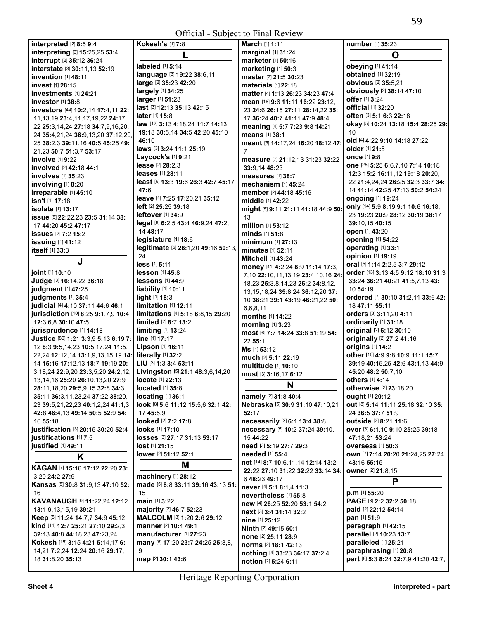Official - Subject to Final Review

| interpreted [2] 8:5 9:4                                                        | Kokesh's [1] 7:8                                            | March [1] 1:11                                                    | number [1] 35:23                                  |
|--------------------------------------------------------------------------------|-------------------------------------------------------------|-------------------------------------------------------------------|---------------------------------------------------|
| interpreting [3] 15:25,25 53:4                                                 |                                                             | marginal [1] 31:24                                                | O                                                 |
| interrupt [2] 35:12 36:24                                                      | labeled [1] 5:14                                            | marketer [1] 50:16                                                | obeying [1] 41:14                                 |
| interstate [3] 30:11,13 52:19                                                  | language [3] 19:22 38:6,11                                  | marketing [1] 50:3                                                | <b>obtained</b> [1] 32:19                         |
| invention [1] 48:11                                                            | large [2] 35:23 42:20                                       | master [2] 21:5 30:23                                             | obvious [2] 35:5,21                               |
| <b>invest</b> [1] 28:15                                                        | largely [1] 34:25                                           | materials [1] 22:18                                               | obviously [2] 38:14 47:10                         |
| investments [1] 24:21                                                          | larger [1] 51:23                                            | matter [4] 1:13 26:23 34:23 47:4                                  | offer [1] 3:24                                    |
| investor $[1]$ 38:8                                                            | last [3] 12:13 35:13 42:15                                  | mean [16] 9:6 11:11 16:22 23:12,                                  | official [1] 32:20                                |
| investors [44] 10:2,14 17:4,11 22:<br>11, 13, 19 23: 4, 11, 17, 19, 22 24: 17, | later [1] 15:8                                              | 23 24:6 26:15 27:11 28:14,22 35:<br>17 36:24 40:7 41:11 47:9 48:4 | often [3] 5:1 6:3 22:18                           |
| 22 25:3.14.24 27:18 34:7.9.16.20.                                              | law [12] 3:13 4:18,24 11:7 14:13                            | meaning [4] 5:7 7:23 9:8 14:21                                    | okay [5] 10:24 13:18 15:4 28:25 29:               |
| 24 35:4,21,24 36:9,13,20 37:12,20,                                             | 19:18 30:5,14 34:5 42:20 45:10                              | means [1] 38:1                                                    | 10                                                |
| 25 38:2,3 39:11,16 40:5 45:25 49:                                              | 46:10                                                       | meant [5] 14:17,24 16:20 18:12 47:                                | old [4] 4:22 9:10 14:18 27:22                     |
| 21,23 50:7 51:3,7 53:17                                                        | laws [3] 3:24 11:1 25:19                                    | 7                                                                 | older [1] 21:5                                    |
| <b>involve</b> [1] 9:22                                                        | Laycock's [1] 9:21                                          | measure [7] 21:12,13 31:23 32:22                                  | <b>once</b> [1] 9:8                               |
| involved [2] 42:18 44:1                                                        | lease [2] 28:2,3                                            | 33:9.14 48:23                                                     | one [25] 5:25 6:6,7,10 7:14 10:18                 |
| <b>involves</b> [1] 35:23                                                      | <b>leases</b> [1] 28:11                                     | measures [1] 38:7                                                 | 12:3 15:2 16:11,12 19:18 20:20,                   |
| involving [1] 8:20                                                             | least [6] 13:3 19:6 26:3 42:7 45:17                         | mechanism [1] 45:24                                               | 22 21:4,24,24 26:25 32:3 33:7 34:                 |
| irreparable [1] 45:10                                                          | 47:6                                                        | member [2] 44:18 45:16                                            | 14 41:14 42:25 47:13 50:2 54:24                   |
| isn't [1] 17:18                                                                | leave [4] 7:25 17:20,21 35:12                               | middle [1] 42:22                                                  | ongoing [1] 19:24                                 |
| <b>isolate</b> [1] <b>13:17</b>                                                | <b>left</b> [2] 25:25 39:18                                 | might [5] 9:11 21:11 41:18 44:9 50:                               | only [14] 5:9 8:19 9:1 10:6 16:18,                |
| issue [8] 22:22,23 23:5 31:14 38:                                              | leftover [1] 34:9                                           | 13                                                                | 23 19:23 20:9 28:12 30:19 38:17                   |
| 17 44:20 45:2 47:17                                                            | legal [8] 6:2,5 43:4 46:9,24 47:2,                          | million [1] 53:12                                                 | 39:10.15 40:15                                    |
| <b>issues</b> [2] 7:2 15:2                                                     | 14 48:17                                                    | minds [1] 51:8                                                    | open [1] 43:20                                    |
| issuing [1] 41:12                                                              | legislature [1] 18:6<br>legitimate [5] 28:1,20 49:16 50:13, | minimum [1] 27:13                                                 | opening [1] 54:22<br>operating [1] 33:1           |
| itself [1] 33:3                                                                | 24                                                          | minutes [1] 52:11                                                 | opinion [1] 19:19                                 |
| J                                                                              | less [1] 5:11                                               | <b>Mitchell [1] 43:24</b>                                         | oral [5] 1:14 2:2,5 3:7 29:12                     |
| joint [1] 10:10                                                                | <b>lesson</b> [1] 45:8                                      | money [41] 4:2,24 8:9 11:14 17:3,                                 | order [13] 3:13 4:5 9:12 18:10 31:3               |
| Judge [3] 16:14,22 36:18                                                       | lessons [1] 44:9                                            | 7,10 22:10,11,13,19 23:4,10,16 24:                                | 33:24 36:21 40:21 41:5,7,13 43:                   |
| judgment [1] 47:25                                                             | liability [1] 10:11                                         | 18,23 25:3,8,14,23 26:2 34:8,12,                                  | 10 54:19                                          |
| judgments [1] 35:4                                                             | light [1] 18:3                                              | 13, 15, 18, 24 35: 8, 24 36: 12, 20 37:                           | ordered [7] 30:10 31:2,11 33:6 42:                |
| judicial [4] 4:10 37:11 44:6 46:1                                              | limitation [1] 12:11                                        | 10 38:21 39:1 43:19 46:21,22 50:<br>6,6,8,11                      | 18 47:11 55:11                                    |
| jurisdiction [10] 8:25 9:1,7,9 10:4                                            | limitations [4] 5:18 6:8,15 29:20                           | <b>months</b> [1] <b>14:</b> 22                                   | orders [3] 3:11,20 4:11                           |
| 12:3,6,8 30:10 47:5                                                            | limited [2] 8:7 13:2                                        | morning [1] 3:23                                                  | ordinarily [1] 31:18                              |
| jurisprudence [1] 14:18                                                        | limiting [1] 13:24                                          | most [6] 7:7 14:24 33:8 51:19 54:                                 | original [2] 6:12 30:10                           |
| Justice [80] 1:21 3:3,9 5:13 6:19 7:                                           | line [1] 17:17                                              | 22 55:1                                                           | originally [2] 27:2 41:16                         |
| 12 8:3 9:5,14,23 10:5,17,24 11:5,                                              | Lipson [1] 16:11                                            | Ms [1] 53:12                                                      | origins [1] 14:2                                  |
| 22,24 12:12,14 13:1,9,13,15,19 14:                                             | literally [1] 32:2                                          | much [2] 5:11 22:19                                               | other [16] 4:9 9:8 10:9 11:1 15:7                 |
| 14 15:16 17:12,13 18:7 19:19 20:                                               | LIU [3] 1:3 3:4 53:11                                       | <b>multitude</b> [1] 10:10                                        | 39:19 40:15,25 42:6 43:1,13 44:9                  |
| 3, 18, 24 22: 9, 20 23: 3, 5, 20 24: 2, 12,                                    | Livingston [5] 21:1 48:3,6,14,20                            | must [3] 3:16,17 6:12                                             | 45:20 48:2 50:7,10                                |
| 13, 14, 16 25: 20 26: 10, 13, 20 27: 9                                         | <b>locate</b> [1] 22:13                                     | N                                                                 | <b>others</b> [1] 4:14                            |
| 28:11, 18, 20 29: 5, 9, 15 32: 8 34: 3                                         | located [1] 35:8                                            |                                                                   | otherwise [2] 23:18,20                            |
| 35:11 36:3,11,23,24 37:22 38:20,                                               | locating [1] 36:1                                           | namely [2] 31:8 40:4<br>Nebraska [5] 30:9 31:10 47:10,21          | ought [1] 20:12                                   |
| 23 39:5,21,22,23 40:1,2,24 41:1,3                                              | look [8] 5:6 11:12 15:5,6 32:1 42:                          | 52:17                                                             | out [8] 5:14 11:11 25:18 32:10 35:                |
| 42:8 46:4,13 49:14 50:5 52:9 54:<br>16 55:18                                   | 17 45:5.9<br>looked [2] 7:2 17:8                            | necessarily [3] 6:1 13:4 38:8                                     | 24 36:5 37:7 51:9<br><b>outside</b> [2] 8:21 11:6 |
| justification [3] 20:15 30:20 52:4                                             | looks [1] 17:10                                             | necessary [5] 10:2 37:24 39:10,                                   | OVer [8] 6:1,10 9:10 25:25 39:18                  |
| justifications [1] 7:5                                                         | losses [3] 27:17 31:13 53:17                                | 15 44:22                                                          | 47:18,21 53:24                                    |
| justified [1] 49:11                                                            | <b>lost</b> [1] <b>21:</b> 15                               | need [3] 5:19 27:7 29:3                                           | overseas [1] 50:3                                 |
|                                                                                | lower [2] 51:12 52:1                                        | needed [1] 55:4                                                   | own [7] 7:14 20:20 21:24,25 27:24                 |
| K                                                                              | M                                                           | net [14] 8:7 10:6,11,14 12:14 13:2                                | 43:16 55:15                                       |
| KAGAN [7] 15:16 17:12 22:20 23:                                                |                                                             | 22:22 27:10 31:22 32:22 33:14 34:                                 | owner [2] 21:8,15                                 |
| 3,20 24:2 27:9                                                                 | machinery [1] 28:12                                         | 6 48:23 49:17                                                     | P                                                 |
| Kansas [5] 30:8 31:9,13 47:10 52:<br>16                                        | made [5] 8:8 33:11 39:16 43:13 51:<br>15                    | never [4] 5:1 8:1.4 11:3                                          | $p.m$ [1] 55:20                                   |
| <b>KAVANAUGH [9] 11:22,24 12:12</b>                                            | main [1] 3:22                                               | nevertheless [1] 55:8                                             | PAGE [3] 2:2 32:2 50:18                           |
| 13:1,9,13,15,19 39:21                                                          | majority [2] 46:7 52:23                                     | new [4] 26:25 52:20 53:1 54:2                                     | paid [2] 22:12 54:14                              |
| Keep [5] 11:24 14:7,7 34:9 45:12                                               | MALCOLM [3] 1:20 2:6 29:12                                  | next [3] 3:4 31:14 32:2                                           | pan [1] 51:9                                      |
| kind [11] 12:7 25:21 27:10 29:2,3                                              | manner [2] 10:4 49:1                                        | <b>nine</b> [1] 25:12                                             | paragraph [1] 42:15                               |
| 32:13 40:8 44:18,23 47:23,24                                                   | manufacturer [1] 27:23                                      | Ninth [2] 49:15 50:1                                              | parallel [2] 10:23 13:7                           |
| Kokesh [15] 3:15 4:21 5:14,17 6:                                               | many [6] 17:20 23:7 24:25 25:8,8,                           | none [2] 25:11 28:9<br>norms [2] 18:1 42:13                       | paralleled [1] 25:21                              |
| 14,21 7:2,24 12:24 20:16 29:17,                                                | 9                                                           | nothing [4] 33:23 36:17 37:2,4                                    | paraphrasing [1] 20:8                             |
| 18 31:8,20 35:13                                                               | map [2] 30:1 43:6                                           | notion [2] 5:24 6:11                                              | part [8] 5:3 8:24 32:7,9 41:20 42:7,              |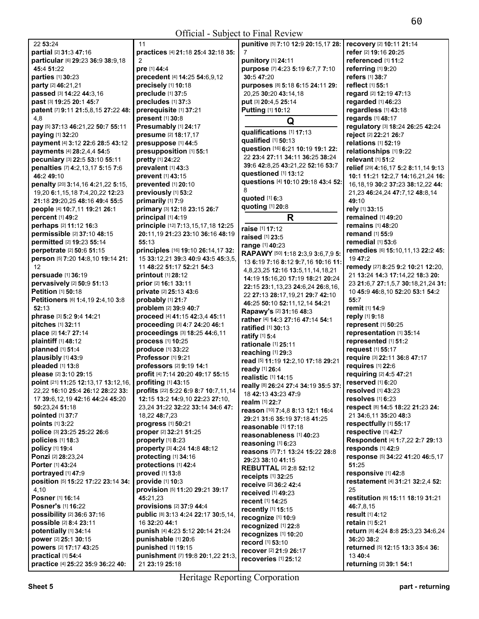| 22 53:24                                      | 11                                                              | punitive [5] 7:10 12:9 20:15,17 28:                              | recovery [2] 10:11 21:14               |
|-----------------------------------------------|-----------------------------------------------------------------|------------------------------------------------------------------|----------------------------------------|
| partial [2] 31:3 47:16                        | practices [4] 21:18 25:4 32:18 35:                              | 7                                                                | refer [2] 19:16 20:25                  |
| particular [6] 29:23 36:9 38:9,18             | 2                                                               | punitory [1] 24:11                                               | referenced [1] 11:2                    |
| 45:4 51:22                                    | pre [1] 44:4                                                    | purpose [7] 4:23 5:19 6:7,7 7:10                                 | referring [1] 9:20                     |
| parties [1] 30:23                             | precedent [4] 14:25 54:6,9,12                                   | 30:5 47:20                                                       | <b>refers</b> [1] 38:7                 |
| party [2] 46:21,21                            | precisely [1] 10:18                                             | purposes [8] 5:18 6:15 24:11 29:                                 | reflect [1] 55:1                       |
| passed [3] 14:22 44:3,16                      | preclude [1] 37:5                                               | 20,25 30:20 43:14,18                                             | regard [2] 12:19 47:13                 |
| past [3] 19:25 20:1 45:7                      | precludes [1] 37:3                                              | put [3] 20:4,5 25:14                                             | regarded [1] 46:23                     |
| patent [7] 9:11 21:5,8,15 27:22 48:           | prerequisite [1] 37:21                                          | Putting [1] 10:12                                                | regardless [1] 43:18                   |
| 4,8                                           | present [1] 30:8                                                | Q                                                                | regards [1] 48:17                      |
| pay [5] 37:13 46:21,22 50:7 55:11             | Presumably [1] 24:17                                            |                                                                  | regulatory [3] 18:24 26:25 42:24       |
| paying [1] 32:20                              | presume [2] 18:17,17                                            | qualifications [1] 17:13                                         | reject [2] 22:21 26:7                  |
| payment [4] 3:12 22:6 28:5 43:12              | presuppose [1] 44:5                                             | qualified [1] 50:13                                              | relations [1] 52:19                    |
| payments [4] 28:2,4,4 54:5                    | presupposition [1] 55:1                                         | question [16] 6:21 10:19 19:1 22:                                | relationships [1] 9:22                 |
| pecuniary [3] 22:5 53:10 55:11                | pretty [1] 24:22                                                | 22 23:4 27:11 34:11 36:25 38:24                                  | relevant [1] 51:2                      |
| penalties [7] 4:2,13,17 5:15 7:6              | prevalent [1] 43:3                                              | 39:6 42:8,25 43:21,22 52:16 53:7                                 | relief [29] 4:16,17 5:2 8:11,14 9:13   |
| 46:2 49:10                                    | prevent [1] 43:15                                               | questioned [1] 13:12                                             | 10:1 11:21 12:2,7 14:16,21,24 16:      |
| penalty [20] 3:14,16 4:21,22 5:15,            | prevented [1] 20:10                                             | questions [4] 10:10 29:18 43:4 52:                               | 16, 18, 19 30: 2 37: 23 38: 12, 22 44: |
| 19,20 6:1,15,18 7:4,20,22 12:23               | previously [1] 53:2                                             | 8                                                                | 21,23 46:24,24 47:7,12 48:8,14         |
| 21:18 29:20,25 48:16 49:4 55:5                | primarily [1] 7:9                                               | quoted [1] 6:3                                                   | 49:10                                  |
| people [4] 10:7,11 19:21 26:1                 | primary [3] 12:18 23:15 26:7                                    | quoting [1] 20:8                                                 | rely [1] 33:15                         |
| percent [1] 49:2                              | principal [1] 4:19                                              | R                                                                | remained [1] 49:20                     |
| perhaps [2] 11:12 16:3                        | principle [12] 7:13,15,17,18 12:25                              | raise [1] 17:12                                                  | remains [1] 48:20                      |
| permissible [2] 37:10 48:15                   | 20:11,19 21:23 23:10 36:16 48:19                                | raised [1] 23:5                                                  | remand [1] 55:9                        |
| permitted [2] 19:23 55:14                     | 55:13                                                           | range [1] 40:23                                                  | remedial [1] 53:6                      |
| perpetrate [2] 50:6 51:15                     | principles [16] 19:10 26:14,17 32:                              | RAPAWY [50] 1:18 2:3,9 3:6,7,9 5:                                | remedies [6] 15:10,11,13 22:2 45:      |
| person [5] 7:20 14:8,10 19:14 21:             | 15 33:12,21 39:3 40:9 43:5 45:3,5,                              | 13 6:19 7:16 8:12 9:7,16 10:16 11:                               | 19 47:2                                |
| 12                                            | 11 48:22 51:17 52:21 54:3                                       | 4,8,23,25 12:16 13:5,11,14,18,21                                 | remedy [27] 8:25 9:2 10:21 12:20,      |
| persuade [1] 36:19                            | <b>printout</b> [1] 28:12                                       | 14:19 15:16,20 17:19 18:21 20:24                                 | 21 13:24 14:3 17:14,22 18:3 20:        |
| pervasively [2] 50:9 51:13                    | prior [2] 16:1 33:11                                            | 22:15 23:1,13,23 24:6,24 26:8,16,                                | 23 21:6,7 27:1,5,7 30:18,21,24 31:     |
| Petition [1] 50:18                            | private [2] 25:13 43:6                                          | 22 27:13 28:17,19,21 29:7 42:10                                  | 10 45:9 46:8,10 52:20 53:1 54:2        |
| Petitioners [6] 1:4,19 2:4,10 3:8             | probably [1] 21:7                                               | 46:25 50:10 52:11,12,14 54:21                                    | 55:7                                   |
| 52:13                                         | problem [2] 39:9 40:7                                           | Rapawy's [2] 31:16 48:3                                          | remit [1] 14:9                         |
| phrase [3] 5:2 9:4 14:21<br>pitches [1] 32:11 | proceed [4] 41:15 42:3,4 45:11<br>proceeding [3] 4:7 24:20 46:1 | rather [4] 14:3 27:16 47:14 54:1                                 | reply [1] 9:18<br>represent [1] 50:25  |
| place [2] 14:7 27:14                          | proceedings [3] 18:25 44:6,11                                   | <b>ratified</b> [1] 30:13                                        | representation [1] 35:14               |
| plaintiff [1] 48:12                           | process [1] 10:25                                               | ratify [1] 5:4                                                   | represented [1] 51:2                   |
| planned [1] 51:4                              | produce [1] 33:22                                               | rationale [1] 25:11                                              | request [1] 55:17                      |
| plausibly [1] 43:9                            | Professor [1] 9:21                                              | reaching [1] 29:3                                                | require [3] 22:11 36:8 47:17           |
| pleaded [1] 13:8                              | professors [2] 9:19 14:1                                        | read [5] 11:19 12:2,10 17:18 29:21                               | requires [1] 22:6                      |
| please [2] 3:10 29:15                         | profit [4] 7:14 20:20 49:17 55:15                               | ready [1] 26:4                                                   | requiring [2] 4:5 47:21                |
| point [21] 11:25 12:13,17 13:12,16,           | profiting [1] 43:15                                             | realistic [1] 14:15                                              | reserved [1] 6:20                      |
| 22,22 16:10 25:4 26:12 28:22 33:              | <b>profits</b> $[22]$ 5:22 6:9 8:7 10:7,11,14                   | really [8] 26:24 27:4 34:19 35:5 37:                             | resolved $[1]$ 43:23                   |
| 17 39:6,12,19 42:16 44:24 45:20               | 12:15 13:2 14:9,10 22:23 27:10,                                 | 18 42:13 43:23 47:9                                              | resolves [1] 6:23                      |
| 50:23,24 51:18                                | 23,24 31:22 32:22 33:14 34:6 47:                                | realm [1] 22:7                                                   | respect [8] 14:5 18:22 21:23 24:       |
| pointed [1] 37:7                              | 18,22 48:7,23                                                   | reason [10] 7:4,8 8:13 12:1 16:4<br>29:21 31:6 35:19 37:18 41:25 | 21 34:6,11 35:20 48:3                  |
| points [1] 3:22                               | progress [1] 50:21                                              | reasonable [1] 17:18                                             | respectfully [1] 55:17                 |
| police [3] 23:25 25:22 26:6                   | proper [2] 32:21 51:25                                          | reasonableness [1] 40:23                                         | respective [1] 42:7                    |
| policies [1] 18:3                             | properly [1] 8:23                                               | reasoning [1] 6:23                                               | Respondent [4] 1:7,22 2:7 29:13        |
| policy [1] 19:4                               | property [3] 4:24 14:8 48:12                                    | reasons [7] 7:1 13:24 15:22 28:8                                 | responds $[1]$ 42:9                    |
| Ponzi [2] 28:23,24                            | protecting [1] 34:16                                            | 29:23 38:10 41:15                                                | response [5] 34:22 41:20 46:5,17       |
| Porter [1] 43:24                              | protections [1] 42:4                                            | <b>REBUTTAL [2] 2:8 52:12</b>                                    | 51:25                                  |
| portrayed [1] 47:9                            | proved [1] 13:8                                                 | receipts [1] 32:25                                               | responsive [1] 42:8                    |
| position [5] 15:22 17:22 23:14 34:            | <b>provide</b> [1] 10:3                                         | receive [2] 36:2 42:4                                            | restatement [4] 31:21 32:2,4 52:       |
| 4,10                                          | provision [5] 11:20 29:21 39:17                                 | received [1] 49:23                                               | 25                                     |
| Posner [1] 16:14                              | 45:21,23                                                        | <b>recent</b> [1] 14:25                                          | restitution [6] 15:11 18:19 31:21      |
| <b>Posner's [1] 16:22</b>                     | provisions [2] 37:9 44:4                                        | <b>recently</b> [1] <b>15:15</b>                                 | 46:7,8,15                              |
| possibility [2] 36:6 37:16                    | public [8] 3:13 4:24 22:17 30:5,14,                             | recognize [1] 10:9                                               | result [1] 4:12                        |
| possible [2] 8:4 23:11                        | 16 32:20 44:1                                                   | recognized [1] 22:8                                              | retain [1] 5:21                        |
| potentially [1] 34:14                         | punish [4] 4:23 5:12 20:14 21:24                                | recognizes [1] 10:20                                             | return [8] 4:24 8:8 25:3,23 34:6,24    |
| power [2] 25:1 30:15                          | punishable [1] 20:6                                             | record [1] 53:10                                                 | 36:20 38:2                             |
| powers [2] 17:17 43:25                        | punished [1] 19:15                                              | recover [2] 21:9 26:17                                           | returned [5] 12:15 13:3 35:4 36:       |
| practical [1] 54:4                            | punishment [7] 19:8 20:1,22 21:3,                               | recoveries [1] 25:12                                             | 13 40:4                                |
| practice [4] 25:22 35:9 36:22 40:             | 21 23:19 25:18                                                  |                                                                  | returning [2] 39:1 54:1                |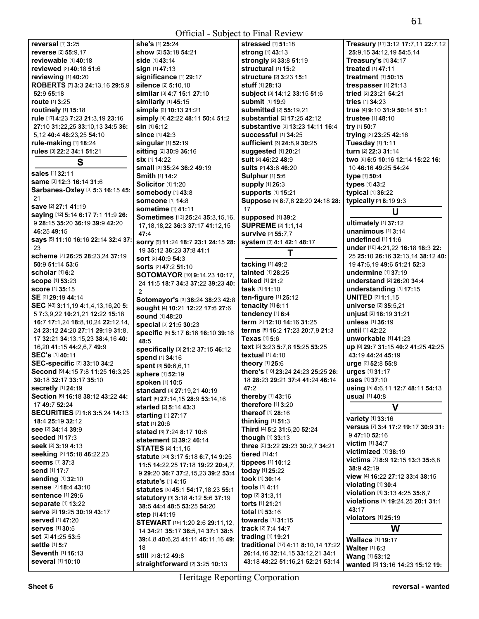| reversal $[1]$ 3:25                     | she's [1] 25:24                           | stressed [1] 51:18                  | Treasury [11] 3:12 17:7,11 22:7,12       |
|-----------------------------------------|-------------------------------------------|-------------------------------------|------------------------------------------|
| <b>reverse</b> [2] 55:9,17              | show [2] 53:18 54:21                      | strong [1] 43:13                    | 25:9,15 34:12,19 54:5,14                 |
|                                         |                                           |                                     |                                          |
| reviewable [1] 40:18                    | <b>side</b> [1] <b>43:14</b>              | strongly [2] 33:8 51:19             | Treasury's [1] 34:17                     |
| reviewed [2] 40:18 51:6                 | sign [1] 47:13                            | structural [1] 15:2                 | treated [1] 47:11                        |
| reviewing [1] 40:20                     | significance [1] 29:17                    | <b>structure</b> [2] 3:23 15:1      | treatment [1] 50:15                      |
| ROBERTS [7] 3:3 24:13,16 29:5,9         | silence [2] 5:10,10                       | stuff [1] 28:13                     | trespasser [1] 21:13                     |
| 52:9 55:18                              | similar [3] 4:7 15:1 27:10                | subject [3] 14:12 33:15 51:6        | tried [2] 23:21 54:21                    |
| route [1] 3:25                          | similarly [1] 45:15                       | submit [1] 19:9                     | tries [1] 34:23                          |
| <b>routinely</b> [1] <b>15:18</b>       | simple [2] 10:13 21:21                    | submitted [2] 55:19,21              | true [4] 9:10 31:9 50:14 51:1            |
| rule [17] 4:23 7:23 21:3,19 23:16       | simply [4] 42:22 48:11 50:4 51:2          | substantial [2] 17:25 42:12         | <b>trustee</b> [1] 48:10                 |
| 27:10 31:22,25 33:10,13 34:5 36:        | sin [1] 6:12                              | substantive [3] 13:23 14:11 16:4    | try [1] 50:7                             |
| 5,12 40:4 48:23,25 54:10                | <b>since</b> [1] 42:3                     | Successful [1] 34:25                | trying [2] 23:25 42:16                   |
|                                         |                                           |                                     |                                          |
| rule-making [1] 18:24                   | singular [1] 52:19                        | Sufficient [3] 24:8,9 30:25         | Tuesday [1] 1:11                         |
| rules [3] 22:2 34:1 51:21               | sitting [2] 30:9 36:16                    | suggested [1] 20:21                 | turn [2] 22:3 31:14                      |
| S                                       | <b>six</b> [1] <b>14:22</b>               | suit [2] 46:22 48:9                 | two [8] 6:5 10:16 12:14 15:22 16:        |
|                                         | small [3] 35:24 36:2 49:19                | suits [2] 43:6 46:20                | 10 46:16 49:25 54:24                     |
| sales [1] 32:11                         | <b>Smith [1] 14:2</b>                     | <b>Sulphur</b> [1] 5:6              | type [1] 50:4                            |
| same [3] 12:3 16:14 31:6                | <b>Solicitor</b> [1] 1:20                 | supply [1] 26:3                     | types [1] 43:2                           |
| Sarbanes-Oxley [3] 5:3 16:15 45:        | Somebody [1] 43:8                         | <b>supports</b> [1] 15:21           | typical [1] 36:22                        |
| 21                                      | <b>someone</b> [1] 14:8                   | Suppose [5] 8:7,8 22:20 24:18 28:   | typically [2] 8:19 9:3                   |
| save [2] 27:1 41:19                     | sometime [1] 41:11                        | 17                                  |                                          |
| saying [12] 5:14 6:17 7:1 11:9 26:      |                                           |                                     | U                                        |
| 9 28:15 35:20 36:19 39:9 42:20          | Sometimes [13] 25:24 35:3,15,16,          | supposed [1] 39:2                   | ultimately [1] 37:12                     |
| 46:25 49:15                             | 17, 18, 18, 22 36: 3 37: 17 41: 12, 15    | <b>SUPREME</b> [2] 1:1,14           | unanimous [1] 3:14                       |
| says [5] 11:10 16:16 22:14 32:4 37:     | 47:4                                      | <b>survive [2] 55:7.7</b>           | undefined $[1]$ 11:6                     |
|                                         | SOrry [9] 11:24 18:7 23:1 24:15 28:       | system [3] 4:1 42:1 48:17           |                                          |
| 23                                      | 19 35:12 36:23 37:8 41:1                  | T                                   | under [16] 4:21,22 16:18 18:3 22:        |
| scheme [7] 26:25 28:23,24 37:19         | sort [2] 40:9 54:3                        |                                     | 25 25:10 26:16 32:13,14 38:12 40:        |
| 50:9 51:14 53:6                         | sorts [2] 47:2 51:10                      | tacking [1] 49:2                    | 19 47:6.19 49:6 51:21 52:3               |
| scholar $[1]$ 6:2                       | SOTOMAYOR [10] 9:14,23 10:17,             | tainted [1] 28:25                   | undermine [1] 37:19                      |
| <b>scope</b> [1] 53:23                  | 24 11:5 18:7 34:3 37:22 39:23 40:         | talked [1] 21:2                     | <b>understand</b> [2] <b>26:20 34:</b> 4 |
| <b>score</b> [1] 35:15                  | 2                                         | task [1] 11:10                      | understanding [1] 17:15                  |
| SE [2] 29:19 44:14                      | Sotomayor's [3] 36:24 38:23 42:8          | ten-figure [1] 25:12                | <b>UNITED [2] 1:1,15</b>                 |
| SEC [43] 3:11, 19 4:1, 4, 13, 16, 20 5: |                                           | tenacity [1] 6:11                   | universe [2] 35:5,21                     |
| 5 7:3,9,22 10:21,21 12:22 15:18         | sought [4] 10:21 12:22 17:6 27:6          | tendency [1] 6:4                    | unjust [2] 18:19 31:21                   |
| 16:7 17:1,24 18:8,10,24 22:12,14,       | sound [1] 48:20                           | term [3] 12:10 14:16 31:25          | unless [1] 36:19                         |
| 24 23:12 24:20 27:11 29:19 31:8,        | special [2] 21:5 30:23                    | terms [5] 16:2 17:23 20:7,9 21:3    | until [1] 42:22                          |
|                                         | specific [5] 5:17 6:16 16:10 39:16        |                                     |                                          |
| 17 32:21 34:13,15,23 38:4,16 40:        | 48:5                                      | Texas [1] 5:6                       | unworkable [1] 41:23                     |
| 16,20 41:15 44:2,6,7 49:9               | specifically [3] 21:2 37:15 46:12         | text [5] 3:23 5:7,8 15:25 53:25     | up [8] 29:7 31:15 40:2 41:25 42:25       |
| SEC's [1] 40:11                         | spend [1] 34:16                           | textual [1] 4:10                    | 43:19 44:24 45:19                        |
| SEC-specific [2] 33:10 34:2             | spent [3] 50:6,6,11                       | theory [1] 25:6                     | urge [2] 52:8 55:8                       |
| Second [9] 4:15 7:8 11:25 16:3,25       | sphere [1] 52:19                          | there's [10] 23:24 24:23 25:25 26:  | urges [1] 31:17                          |
| 30:18 32:17 33:17 35:10                 | spoken [1] 10:5                           | 18 28:23 29:21 37:4 41:24 46:14     | <b>uses</b> [1] 37:10                    |
| secretly [1] 24:19                      |                                           | 47:2                                | using [5] 4:6,11 12:7 48:11 54:13        |
| Section [6] 16:18 38:12 43:22 44:       | <b>standard</b> [3] <b>27:19,21 40:19</b> | thereby [1] 43:16                   | usual [1] 40:8                           |
| 17 49:7 52:24                           | start [5] 27:14,15 28:9 53:14,16          | therefore [1] 3:20                  |                                          |
| SECURITIES [7] 1:6 3:5,24 14:13         | started [2] 5:14 43:3                     | thereof [1] 28:16                   | V                                        |
|                                         | starting [1] 27:17                        |                                     | variety [1] 33:16                        |
| 18:4 25:19 32:12                        | stat [1] 20:6                             | thinking $[1]$ 51:3                 | versus [7] 3:4 17:2 19:17 30:9 31:       |
| See [2] 34:14 39:9                      | stated [3] 7:24 8:17 10:6                 | Third [4] 5:2 31:6,20 52:24         | 947:10 52:16                             |
| <b>seeded</b> [1] 17:3                  | <b>statement</b> [2] 39:2 46:14           | though [1] 33:13                    | <b>victim</b> [1] 34:7                   |
| seek [2] 3:19 4:13                      | <b>STATES [2] 1:1.15</b>                  | three [5] 3:22 29:23 30:2,7 34:21   | victimized [1] 38:19                     |
| seeking [3] 15:18 46:22,23              | statute [20] 3:17 5:18 6:7,14 9:25        | tiered [1] 4:1                      |                                          |
| <b>seems</b> [1] 37:3                   | 11:5 14:22,25 17:18 19:22 20:4,7,         | tippees [1] 10:12                   | victims [7] 8:9 12:15 13:3 35:6,8        |
| <b>send</b> [1] 17:7                    | 9 29:20 36:7 37:2,15,23 39:2 53:4         | today [1] 25:22                     | 38:9 42:19                               |
| sending [1] 32:10                       | statute's [1] 4:15                        | took [1] 30:14                      | view [4] 16:22 27:12 33:4 38:15          |
| sense [2] 18:4 43:10                    |                                           | tools [1] 4:11                      | violating [1] 30:4                       |
| sentence [1] 29:6                       | statutes [5] 45:1 54:17,18,23 55:1        | top $[2]$ 31:3,11                   | violation [4] 3:13 4:25 35:6,7           |
| <b>separate [1] 13:22</b>               | statutory [9] 3:18 4:12 5:6 37:19         | torts [1] 21:21                     | violations [5] 19:24,25 20:1 31:1        |
|                                         | 38:5 44:4 48:5 53:25 54:20                |                                     | 43:17                                    |
| serve [3] 19:25 30:19 43:17             | step [1] 41:19                            | total [1] 53:16                     | violators [1] 25:19                      |
| <b>served</b> [1] 47:20                 | STEWART [19] 1:20 2:6 29:11,12,           | towards [1] 31:15                   |                                          |
| <b>serves</b> [1] 30:5                  | 14 34:21 35:17 36:5,14 37:1 38:5          | track [2] 7:4 14:7                  | W                                        |
| set [2] 41:25 53:5                      | 39:4,8 40:6,25 41:11 46:11,16 49:         | trading [1] 19:21                   | Wallace [1] 19:17                        |
| settle [1] 5:7                          | 18                                        | traditional [17] 4:11 8:10,14 17:22 | Walter [1] 6:3                           |
| Seventh [1] 16:13                       | still [2] 8:12 49:8                       | 26:14,16 32:14,15 33:12,21 34:1     | <b>Wang [1] 53:12</b>                    |
| several [1] 10:10                       | straightforward [2] 3:25 10:13            | 43:18 48:22 51:16,21 52:21 53:14    | wanted [5] 13:16 14:23 15:12 19:         |
|                                         |                                           |                                     |                                          |